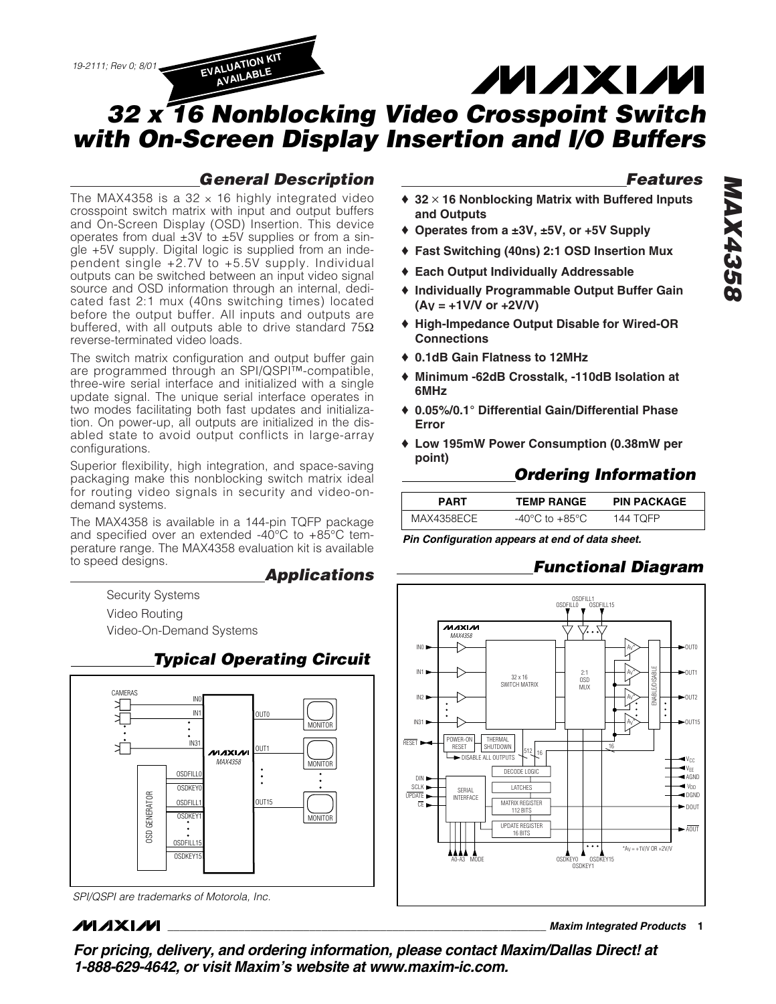# **MAXM**

## *32 x 16 Nonblocking Video Crosspoint Switch with On-Screen Display Insertion and I/O Buffers*

### *General Description*

The MAX4358 is a  $32 \times 16$  highly integrated video crosspoint switch matrix with input and output buffers and On-Screen Display (OSD) Insertion. This device operates from dual  $\pm 3V$  to  $\pm 5V$  supplies or from a single +5V supply. Digital logic is supplied from an independent single +2.7V to +5.5V supply. Individual outputs can be switched between an input video signal source and OSD information through an internal, dedicated fast 2:1 mux (40ns switching times) located before the output buffer. All inputs and outputs are buffered, with all outputs able to drive standard 75Ω reverse-terminated video loads.

**AVAILABLE**

The switch matrix configuration and output buffer gain are programmed through an SPI/QSPI™-compatible, three-wire serial interface and initialized with a single update signal. The unique serial interface operates in two modes facilitating both fast updates and initialization. On power-up, all outputs are initialized in the disabled state to avoid output conflicts in large-array configurations.

Superior flexibility, high integration, and space-saving packaging make this nonblocking switch matrix ideal for routing video signals in security and video-ondemand systems.

The MAX4358 is available in a 144-pin TQFP package and specified over an extended -40°C to +85°C temperature range. The MAX4358 evaluation kit is available to speed designs.

*Typical Operating Circuit*

*Applications*

Security Systems Video Routing Video-On-Demand Systems





### *MAXM*

### *Features*

- ♦ **32** ✕ **16 Nonblocking Matrix with Buffered Inputs and Outputs**
- ♦ **Operates from a ±3V, ±5V, or +5V Supply**
- ♦ **Fast Switching (40ns) 2:1 OSD Insertion Mux**
- ♦ **Each Output Individually Addressable**
- ♦ **Individually Programmable Output Buffer Gain (AV = +1V/V or +2V/V)**
- ♦ **High-Impedance Output Disable for Wired-OR Connections**
- ♦ **0.1dB Gain Flatness to 12MHz**
- ♦ **Minimum -62dB Crosstalk, -110dB Isolation at 6MHz**
- ♦ **0.05%/0.1° Differential Gain/Differential Phase Error**
- ♦ **Low 195mW Power Consumption (0.38mW per point)**

### *Ordering Information*

| <b>PART</b> | <b>TEMP RANGE</b> | <b>PIN PACKAGE</b> |
|-------------|-------------------|--------------------|
| MAX4358ECE  | -40°C to +85°C    | 144 TOFP           |

*Pin Configuration appears at end of data sheet.*

### *Functional Diagram*



*MAX4358* **8924XAM** 

**\_\_\_\_\_\_\_\_\_\_\_\_\_\_\_\_\_\_\_\_\_\_\_\_\_\_\_\_\_\_\_\_\_\_\_\_\_\_\_\_\_\_\_\_\_\_\_\_\_\_\_\_\_\_\_\_\_\_\_\_\_\_\_\_** *Maxim Integrated Products* **1**

*For pricing, delivery, and ordering information, please contact Maxim/Dallas Direct! at 1-888-629-4642, or visit Maxim's website at www.maxim-ic.com.*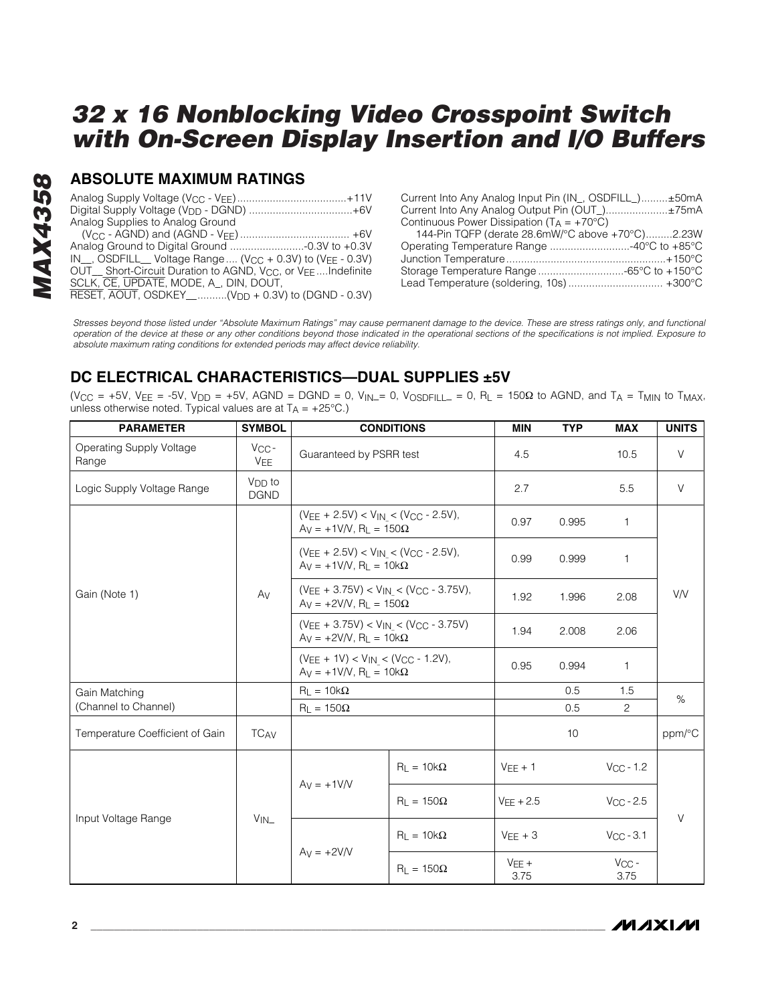# **MAX4358** *MAX4358*

#### **ABSOLUTE MAXIMUM RATINGS**

| Digital Supply Voltage (V <sub>DD</sub> - DGND) +6V                                                       |
|-----------------------------------------------------------------------------------------------------------|
| Analog Supplies to Analog Ground                                                                          |
|                                                                                                           |
|                                                                                                           |
| $IN_{\!\dots}$ , OSDFILL $_{\!\dots}$ Voltage Range  (V <sub>CC</sub> + 0.3V) to (V <sub>EE</sub> - 0.3V) |
| OUT Short-Circuit Duration to AGND, V <sub>CC</sub> , or V <sub>FF</sub> Indefinite                       |
| SCLK, CE, UPDATE, MODE, A, DIN, DOUT,                                                                     |
| RESET, AOUT, OSDKEY__(V <sub>DD</sub> + 0.3V) to (DGND - 0.3V)                                            |
|                                                                                                           |

| Current Into Any Analog Input Pin (IN_, OSDFILL_)±50mA |  |
|--------------------------------------------------------|--|
| Current Into Any Analog Output Pin (OUT)±75mA          |  |
| Continuous Power Dissipation ( $T_A = +70^{\circ}C$ )  |  |
| 144-Pin TQFP (derate 28.6mW/°C above +70°C)2.23W       |  |
| Operating Temperature Range 40°C to +85°C              |  |
|                                                        |  |
| Storage Temperature Range -65°C to +150°C              |  |
| Lead Temperature (soldering, 10s)  +300°C              |  |

*Stresses beyond those listed under "Absolute Maximum Ratings" may cause permanent damage to the device. These are stress ratings only, and functional operation of the device at these or any other conditions beyond those indicated in the operational sections of the specifications is not implied. Exposure to absolute maximum rating conditions for extended periods may affect device reliability.*

### **DC ELECTRICAL CHARACTERISTICS—DUAL SUPPLIES ±5V**

(V<sub>CC</sub> = +5V, V<sub>EE</sub> = -5V, V<sub>DD</sub> = +5V, AGND = DGND = 0, V<sub>IN</sub>\_= 0, V<sub>OSDFILL</sub> = 0, R<sub>L</sub> = 150 $\Omega$  to AGND, and T<sub>A</sub> = T<sub>MIN</sub> to T<sub>MAX</sub>, unless otherwise noted. Typical values are at  $T_A = +25^{\circ}C$ .)

| <b>PARAMETER</b>                  | <b>SYMBOL</b>              |                                                                                      | <b>CONDITIONS</b>                                                               | <b>MIN</b>      | <b>TYP</b> | <b>MAX</b>         | <b>UNITS</b> |
|-----------------------------------|----------------------------|--------------------------------------------------------------------------------------|---------------------------------------------------------------------------------|-----------------|------------|--------------------|--------------|
| Operating Supply Voltage<br>Range | $V_{CC}$ -<br>VEE          | Guaranteed by PSRR test                                                              |                                                                                 | 4.5             |            | 10.5               | $\vee$       |
| Logic Supply Voltage Range        | $V_{DD}$ to<br><b>DGND</b> |                                                                                      |                                                                                 | 2.7             |            | 5.5                | $\vee$       |
|                                   |                            |                                                                                      | $(VEE + 2.5V) < V_{IN} < (V_{CC} - 2.5V)$ ,<br>$Ay = +1V/V$ , $R_L = 150\Omega$ |                 |            | 1                  |              |
|                                   | Av                         | $(V_{EE} + 2.5V) < V_{IN} < (V_{CC} - 2.5V)$ ,<br>$Ay = +1V/V$ , $R_1 = 10k\Omega$   |                                                                                 | 0.99            | 0.999      | 1                  | V/V          |
| Gain (Note 1)                     |                            | $(V_{EE} + 3.75V) < V_{IN} < (V_{CC} - 3.75V)$ ,<br>$Ay = +2V/V$ , $R_L = 150\Omega$ |                                                                                 | 1.92            | 1.996      | 2.08               |              |
|                                   |                            | $(V_{EE} + 3.75V) < V_{IN} < (V_{CC} - 3.75V)$<br>$Ay = +2V/V$ , $R_L = 10k\Omega$   |                                                                                 | 1.94            | 2.008      | 2.06               |              |
|                                   |                            | $(VEE + 1V) < V_{IN} < (V_{CC} - 1.2V)$ ,<br>$Ay = +1V/V$ , $R_L = 10k\Omega$        |                                                                                 | 0.95            | 0.994      | 1                  |              |
| Gain Matching                     |                            | $R_L = 10k\Omega$                                                                    |                                                                                 |                 | 0.5        | 1.5                | $\%$         |
| (Channel to Channel)              |                            | $R_L = 150\Omega$                                                                    |                                                                                 |                 | 0.5        | 2                  |              |
| Temperature Coefficient of Gain   | <b>TCAV</b>                |                                                                                      |                                                                                 |                 | 10         |                    | ppm/°C       |
|                                   |                            | $Av = +1$ V/V                                                                        | $R_L = 10k\Omega$                                                               | $VEE + 1$       |            | $V_{CC} - 1.2$     |              |
| Input Voltage Range               |                            |                                                                                      | $R_1 = 150\Omega$                                                               | $VEE + 2.5$     |            | $V_{\rm CC}$ - 2.5 |              |
|                                   | $V_{IN}$                   |                                                                                      | $R_1 = 10k\Omega$                                                               | $VEE + 3$       |            | $V_{CC} - 3.1$     | V            |
|                                   |                            | $Av = +2V/V$                                                                         | $R_{L} = 150\Omega$                                                             | $VEE +$<br>3.75 |            | $V_{CC}$ -<br>3.75 |              |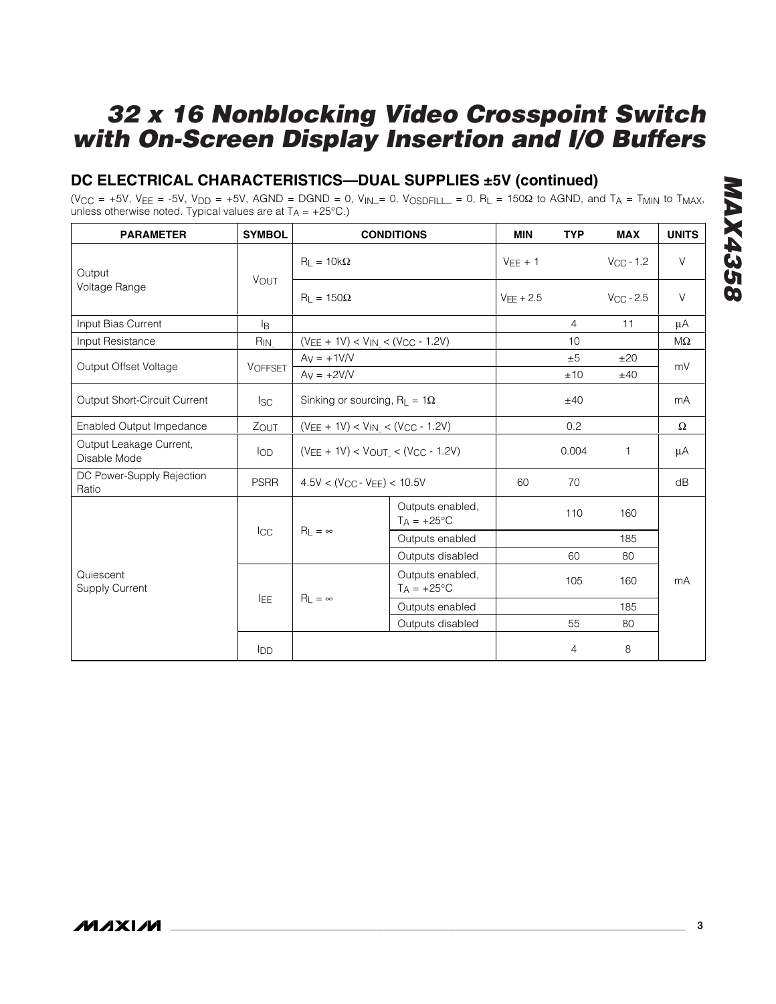### **DC ELECTRICAL CHARACTERISTICS—DUAL SUPPLIES ±5V (continued)**

 $(V_{CC} = +5V, V_{EE} = -5V, V_{DD} = +5V, AGND = DGND = 0, V_{IN} = 0, V_{OSDFILL} = 0, R<sub>L</sub> = 150\Omega$  to AGND, and T<sub>A</sub> = T<sub>MIN</sub> to T<sub>MAX</sub>, unless otherwise noted. Typical values are at  $T_A = +25^{\circ}C$ .)

| <b>PARAMETER</b>                        | <b>SYMBOL</b>   |                                                                                                                                                                                                                                                                                                      | <b>CONDITIONS</b>                  | <b>MIN</b>  | <b>TYP</b>      | <b>MAX</b>         | <b>UNITS</b> |
|-----------------------------------------|-----------------|------------------------------------------------------------------------------------------------------------------------------------------------------------------------------------------------------------------------------------------------------------------------------------------------------|------------------------------------|-------------|-----------------|--------------------|--------------|
| Output                                  |                 | $R_1 = 10k\Omega$                                                                                                                                                                                                                                                                                    |                                    | $VEF + 1$   |                 | $V_{CC}$ - 1.2     | $\vee$       |
| Voltage Range                           | VOUT            | $R_1 = 150\Omega$                                                                                                                                                                                                                                                                                    |                                    | $VFF + 2.5$ |                 | $V_{\rm CC}$ - 2.5 | $\vee$       |
| Input Bias Current                      | l <sub>B</sub>  | $(V_{EE} + 1V) < V_{IN} < (V_{CC} - 1.2V)$<br>$Ay = +1V/V$<br>$Av = +2V/V$<br>Sinking or sourcing, $R_L = 1\Omega$<br>$(V_{EE} + 1V) < V_{IN} < (V_{CC} - 1.2V)$<br>$(VEE + 1V) < VOUT < (VCC - 1.2V)$<br>$4.5V < (V_{CC} - V_{FF}) < 10.5V$<br>Outputs enabled,<br>$T_A = +25$ °C<br>$R_1 = \infty$ |                                    |             | 4               | 11                 | μA           |
| Input Resistance                        | R <sub>IN</sub> |                                                                                                                                                                                                                                                                                                      |                                    |             | 10 <sup>1</sup> |                    | MΩ           |
| Output Offset Voltage                   | <b>VOFFSET</b>  |                                                                                                                                                                                                                                                                                                      |                                    |             | ±5<br>±10       | ±20<br>±40         | mV           |
| Output Short-Circuit Current            | <b>ISC</b>      |                                                                                                                                                                                                                                                                                                      |                                    | ±40         |                 | mA                 |              |
| Enabled Output Impedance                | ZOUT            |                                                                                                                                                                                                                                                                                                      |                                    | 0.2         |                 | $\Omega$           |              |
| Output Leakage Current,<br>Disable Mode | <b>I</b> OD     |                                                                                                                                                                                                                                                                                                      |                                    |             |                 | 1.                 | μA           |
| DC Power-Supply Rejection<br>Ratio      | <b>PSRR</b>     |                                                                                                                                                                                                                                                                                                      |                                    | 60          | 70              |                    | dB           |
|                                         |                 |                                                                                                                                                                                                                                                                                                      |                                    |             | 110             | 160                |              |
|                                         | $_{\rm{ICC}}$   |                                                                                                                                                                                                                                                                                                      | Outputs enabled                    |             |                 | 185                |              |
|                                         |                 |                                                                                                                                                                                                                                                                                                      | Outputs disabled                   |             | 60              | 80                 |              |
| Quiescent<br><b>Supply Current</b>      |                 |                                                                                                                                                                                                                                                                                                      | Outputs enabled,<br>$T_A = +25$ °C |             | 105             | 160                | mA           |
|                                         | <b>IEE</b>      | $R_L = \infty$                                                                                                                                                                                                                                                                                       | Outputs enabled                    |             |                 | 185                |              |
|                                         |                 |                                                                                                                                                                                                                                                                                                      | Outputs disabled                   |             | 55              | 80                 |              |
|                                         | <b>I</b> DD     |                                                                                                                                                                                                                                                                                                      |                                    |             | 4               | 8                  |              |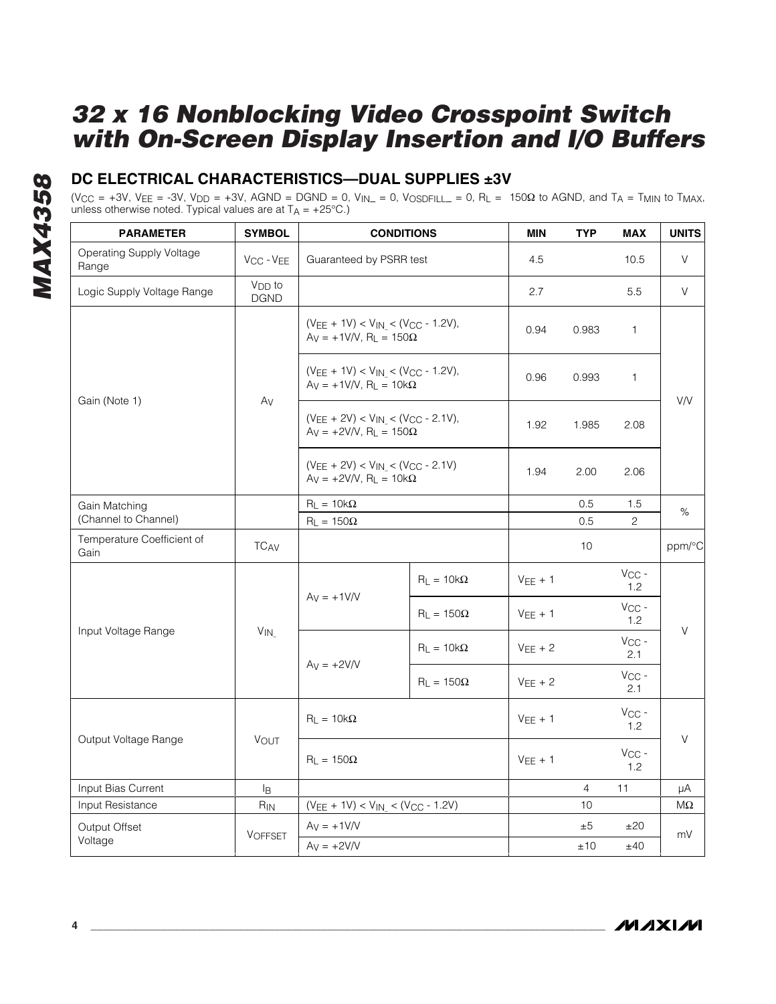### **DC ELECTRICAL CHARACTERISTICS—DUAL SUPPLIES ±3V**

 $(V_{CC} = +3V, V_{FE} = -3V, V_{DD} = +3V, AGND = DGND = 0, V_{IN} = 0, V_{OSDEII} = 0, R<sub>L</sub> = 150\Omega$  to AGND, and T<sub>A</sub> = T<sub>MIN</sub> to T<sub>MAX</sub>, unless otherwise noted. Typical values are at  $T_A = +25^{\circ}C$ .)

| <b>PARAMETER</b>                         | <b>SYMBOL</b>                     |                                                                                 | <b>CONDITIONS</b>                                                              | MIN          | <b>TYP</b>     | <b>MAX</b>        | <b>UNITS</b> |
|------------------------------------------|-----------------------------------|---------------------------------------------------------------------------------|--------------------------------------------------------------------------------|--------------|----------------|-------------------|--------------|
| <b>Operating Supply Voltage</b><br>Range | V <sub>CC</sub> - V <sub>EE</sub> | Guaranteed by PSRR test                                                         |                                                                                | 4.5          |                | 10.5              | V            |
| Logic Supply Voltage Range               | V <sub>DD</sub> to<br><b>DGND</b> |                                                                                 |                                                                                | 2.7          |                | 5.5               | V            |
|                                          |                                   | $(V_{EE} + 1V) < V_{IN} < (V_{CC} - 1.2V),$<br>$Ay = +1V/V$ , $R_L = 150\Omega$ |                                                                                | 0.94         | 0.983          | 1                 |              |
|                                          | Av                                | $(VEE + 1V) < V_{IN} < (V_{CC} - 1.2V)$ ,<br>$Ay = +1V/V$ , $R_L = 10k\Omega$   |                                                                                | 0.96         | 0.993          | 1                 |              |
| Gain (Note 1)                            |                                   | $(VEE + 2V) < V_{IN} < (V_{CC} - 2.1V)$ ,<br>$Ay = +2V/V$ , $R_L = 150\Omega$   |                                                                                | 1.92         | 1.985          | 2.08              | V/V          |
|                                          |                                   |                                                                                 | $(V_{EE} + 2V) < V_{IN} < (V_{CC} - 2.1V)$<br>$Ay = +2V/V$ , $R_L = 10k\Omega$ |              | 2.00           | 2.06              |              |
| Gain Matching                            |                                   | $R_L = 10k\Omega$                                                               |                                                                                |              | 0.5            | 1.5               | %            |
| (Channel to Channel)                     |                                   | $R_L = 150\Omega$                                                               |                                                                                |              | 0.5            | $\overline{2}$    |              |
| Temperature Coefficient of<br>Gain       | <b>TCAV</b>                       |                                                                                 |                                                                                |              | 10             |                   | ppm/°C       |
|                                          |                                   | $Ay = +1V/V$                                                                    | $R_L = 10k\Omega$                                                              | $VEE + 1$    |                | $V_{CC}$ -<br>1.2 |              |
| Input Voltage Range                      | $V_{IN}$                          |                                                                                 | $R_L = 150\Omega$                                                              | $VEE + 1$    |                | $V_{CC}$ -<br>1.2 | $\vee$       |
|                                          |                                   | $Ay = +2V/V$                                                                    | $R_1 = 10k\Omega$                                                              | $V_{EE}$ + 2 |                | $V_{CC}$ -<br>2.1 |              |
|                                          |                                   |                                                                                 | $R_L = 150\Omega$                                                              | $VEE + 2$    |                | $V_{CC}$ -<br>2.1 |              |
|                                          |                                   | $R_L = 10k\Omega$                                                               |                                                                                | $VEE + 1$    |                | $V_{CC}$ -<br>1.2 | V            |
| Output Voltage Range                     | <b>VOUT</b>                       | $R_1 = 150\Omega$                                                               |                                                                                | $V_{EE}$ + 1 |                | $V_{CC}$ -<br>1.2 |              |
| Input Bias Current                       | IB.                               |                                                                                 |                                                                                |              | $\overline{4}$ | 11                | μA           |
| Input Resistance                         | $R_{IN}$                          | $(V_{EE} + 1V) < V_{IN} < (V_{CC} - 1.2V)$                                      |                                                                                |              | 10             |                   | ΜΩ           |
| Output Offset                            | <b>VOFFSET</b>                    | $Av = +1V/V$                                                                    |                                                                                |              | ±5             | ±20               | mV           |
| Voltage                                  |                                   | $Ay = +2V/V$                                                                    |                                                                                |              | ±10            | ±40               |              |

**MAXIM**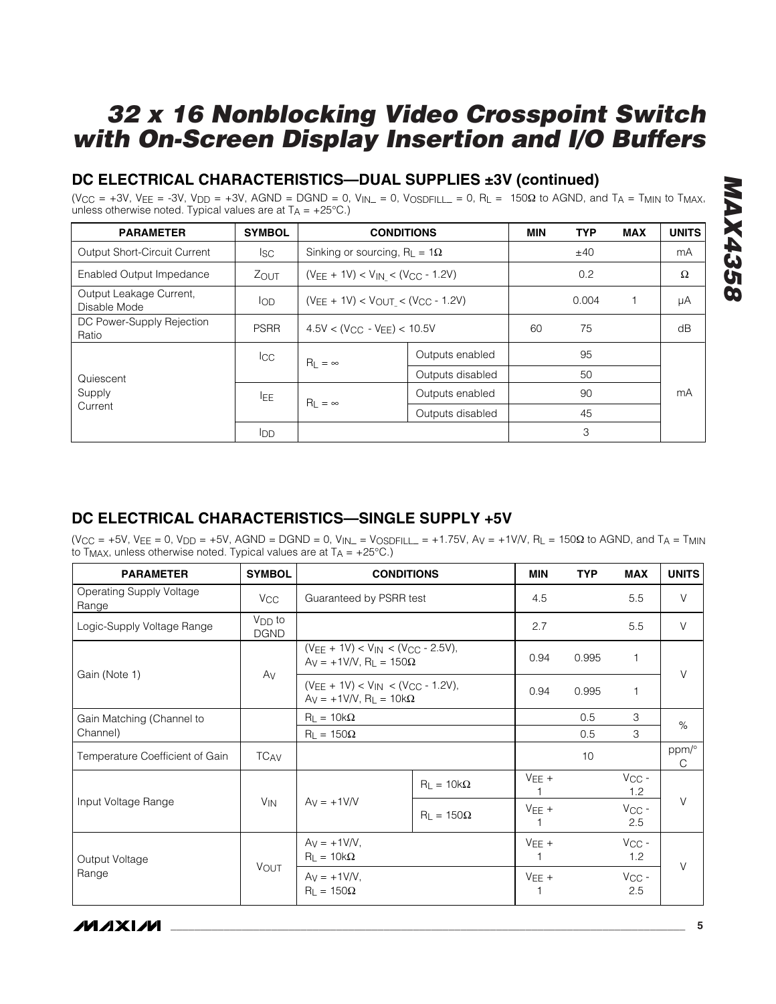### **DC ELECTRICAL CHARACTERISTICS—DUAL SUPPLIES ±3V (continued)**

(V<sub>CC</sub> = +3V, V<sub>EE</sub> = -3V, V<sub>DD</sub> = +3V, AGND = DGND = 0, V<sub>IN</sub> = 0, V<sub>OSDFILL</sub> = 0, R<sub>L</sub> = 150 $\Omega$  to AGND, and T<sub>A</sub> = T<sub>MIN</sub> to T<sub>MAX</sub>, unless otherwise noted. Typical values are at  $T_A = +25^{\circ}C$ .)

| <b>PARAMETER</b>                        | <b>SYMBOL</b> | <b>CONDITIONS</b>                           |                  | <b>MIN</b> | <b>TYP</b> | <b>MAX</b> | <b>UNITS</b> |
|-----------------------------------------|---------------|---------------------------------------------|------------------|------------|------------|------------|--------------|
| <b>Output Short-Circuit Current</b>     | lsc.          | Sinking or sourcing, $R_{L} = 1\Omega$      |                  |            | ±40        |            | mA           |
| Enabled Output Impedance                | $Z_{OUT}$     | $(V_{EE} + 1V) < V_{IN} < (V_{CC} - 1.2V)$  |                  |            | 0.2        |            | Ω            |
| Output Leakage Current,<br>Disable Mode | <b>I</b> OD   | $(V_{EE} + 1V) < V_{OUT} < (V_{CC} - 1.2V)$ |                  |            | 0.004      |            | μA           |
| DC Power-Supply Rejection<br>Ratio      | <b>PSRR</b>   | $4.5V < (V_{CC} - V_{EE}) < 10.5V$          |                  | 60         | 75         |            | dB           |
|                                         | <b>I</b> CC   | $R_L = \infty$                              | Outputs enabled  |            | 95         |            |              |
| Quiescent                               |               |                                             | Outputs disabled |            | 50         |            |              |
| Supply                                  | <b>LEE</b>    | $R_1 = \infty$                              | Outputs enabled  |            | 90         |            | mA           |
| Current                                 |               |                                             | Outputs disabled |            | 45         |            |              |
|                                         | <b>I</b> DD   |                                             |                  |            | 3          |            |              |

#### **DC ELECTRICAL CHARACTERISTICS—SINGLE SUPPLY +5V**

 $(V_{CC} = +5V, V_{EE} = 0, V_{DD} = +5V, AGND = DGND = 0, V_{IN} = V_{OSDFILL} = +1.75V, Av = +1V/V, R<sub>L</sub> = 150\Omega$  to AGND, and T<sub>A</sub> = T<sub>MIN</sub> to T<sub>MAX</sub>, unless otherwise noted. Typical values are at  $T_A = +25^{\circ}C$ .)

| <b>PARAMETER</b>                         | <b>SYMBOL</b>              |                                                                                                       | <b>CONDITIONS</b>   | <b>MIN</b> | <b>TYP</b> | <b>MAX</b>        | <b>UNITS</b> |
|------------------------------------------|----------------------------|-------------------------------------------------------------------------------------------------------|---------------------|------------|------------|-------------------|--------------|
| <b>Operating Supply Voltage</b><br>Range | <b>V<sub>CC</sub></b>      | Guaranteed by PSRR test                                                                               |                     | 4.5        |            | 5.5               | $\vee$       |
| Logic-Supply Voltage Range               | $V_{DD}$ to<br><b>DGND</b> |                                                                                                       |                     | 2.7        |            | 5.5               | V            |
|                                          |                            | $(V_{FE} + 1V) < V_{IN} < (V_{CC} - 2.5V)$ ,<br>$Ay = +1V/V$ , $R_1 = 150\Omega$                      |                     | 0.94       | 0.995      | $\mathbf 1$       | $\vee$       |
| Gain (Note 1)                            | Av                         | $(V_{\text{FE}} + 1V) < V_{\text{IN}} < (V_{\text{CC}} - 1.2V)$ ,<br>$Ay = +1V/V$ , $R_L = 10k\Omega$ |                     | 0.94       | 0.995      | $\mathbf{1}$      |              |
| Gain Matching (Channel to                |                            | $R_1 = 10k\Omega$                                                                                     |                     |            | 0.5        | 3                 | $\%$         |
| Channel)                                 |                            | $R_L = 150\Omega$                                                                                     |                     |            | 0.5        | 3                 |              |
| Temperature Coefficient of Gain          | <b>TCAV</b>                |                                                                                                       |                     |            | 10         |                   | ppm/°<br>C   |
|                                          |                            | $Av = +1$ V/V                                                                                         | $R_L = 10k\Omega$   | $VEE +$    |            | $V_{CC}$ -<br>1.2 |              |
| Input Voltage Range                      | <b>V<sub>IN</sub></b>      |                                                                                                       | $R_{L} = 150\Omega$ | $VEE +$    |            | $V_{CC}$ -<br>2.5 | V            |
| Output Voltage                           |                            | $Av = +1V/V$ .<br>$R_L = 10k\Omega$                                                                   |                     | $VEE +$    |            | $V_{CC}$ -<br>1.2 |              |
| Range                                    | VOUT                       | $Av = +1V/V$ ,<br>$R_L = 150\Omega$                                                                   |                     | $VEE +$    |            | $V_{CC}$ -<br>2.5 | $\vee$       |

*IVI AXI IVI*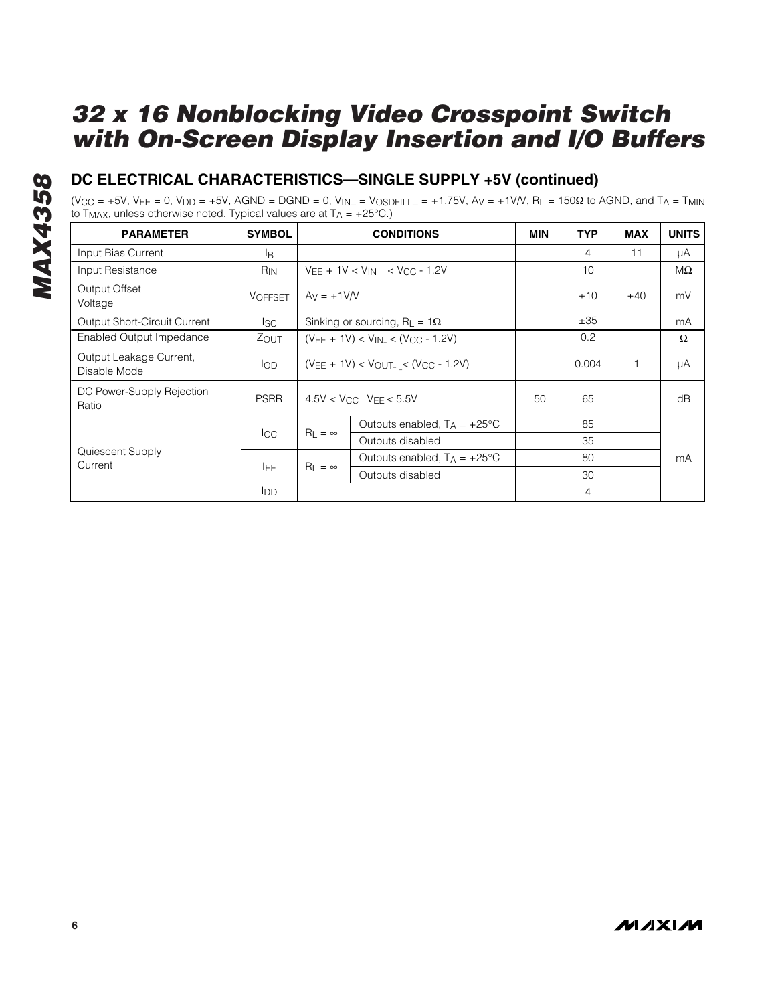### **DC ELECTRICAL CHARACTERISTICS—SINGLE SUPPLY +5V (continued)**

(V<sub>CC</sub> = +5V, V<sub>EE</sub> = 0, V<sub>DD</sub> = +5V, AGND = DGND = 0, V<sub>IN</sub>\_ = V<sub>OSDFILL</sub> = +1.75V, A<sub>V</sub> = +1V/V, R<sub>L</sub> = 150Ω to AGND, and T<sub>A</sub> = T<sub>MIN</sub> to T<sub>MAX</sub>, unless otherwise noted. Typical values are at T<sub>A</sub> = +25°C.)

| <b>PARAMETER</b>                        | <b>SYMBOL</b>   |                                            | <b>CONDITIONS</b>                           | <b>MIN</b> | <b>TYP</b>     | <b>MAX</b> | <b>UNITS</b> |
|-----------------------------------------|-----------------|--------------------------------------------|---------------------------------------------|------------|----------------|------------|--------------|
| Input Bias Current                      | lB.             |                                            |                                             |            | 4              | 11         | μA           |
| Input Resistance                        | R <sub>IN</sub> |                                            | $V_{FE}$ + 1V < $V_{IN}$ < $V_{CC}$ - 1.2V  |            | 10             |            | MΩ           |
| Output Offset<br>Voltage                | <b>VOFFSET</b>  | $Av = +1$ V/V                              |                                             |            | ±10            | ±40        | mV           |
| <b>Output Short-Circuit Current</b>     | lsc.            |                                            | Sinking or sourcing, $R_{L} = 1\Omega$      |            | ±35            |            | mA           |
| Enabled Output Impedance                | ZOUT            | $(V_{EE} + 1V) < V_{IN} < (V_{CC} - 1.2V)$ |                                             | 0.2        |                | Ω          |              |
| Output Leakage Current,<br>Disable Mode | lop             |                                            | $(V_{EE} + 1V) < V_{OUT} < (V_{CC} - 1.2V)$ |            |                | 1          | μA           |
| DC Power-Supply Rejection<br>Ratio      | <b>PSRR</b>     |                                            | $4.5V < V_{CC}$ - $V_{FF} < 5.5V$           | 50         | 65             |            | dB           |
|                                         |                 |                                            | Outputs enabled, $T_A = +25^{\circ}C$       |            | 85             |            |              |
|                                         | <b>I</b> CC     | $R_1 = \infty$                             | Outputs disabled                            |            | 35             |            |              |
| Quiescent Supply<br>Current             |                 |                                            | Outputs enabled, $T_A = +25^{\circ}C$       |            | 80             |            | mA           |
|                                         | lEE.            | $R_1 = \infty$                             | Outputs disabled                            |            | 30             |            |              |
|                                         | <b>I</b> DD     |                                            |                                             |            | $\overline{4}$ |            |              |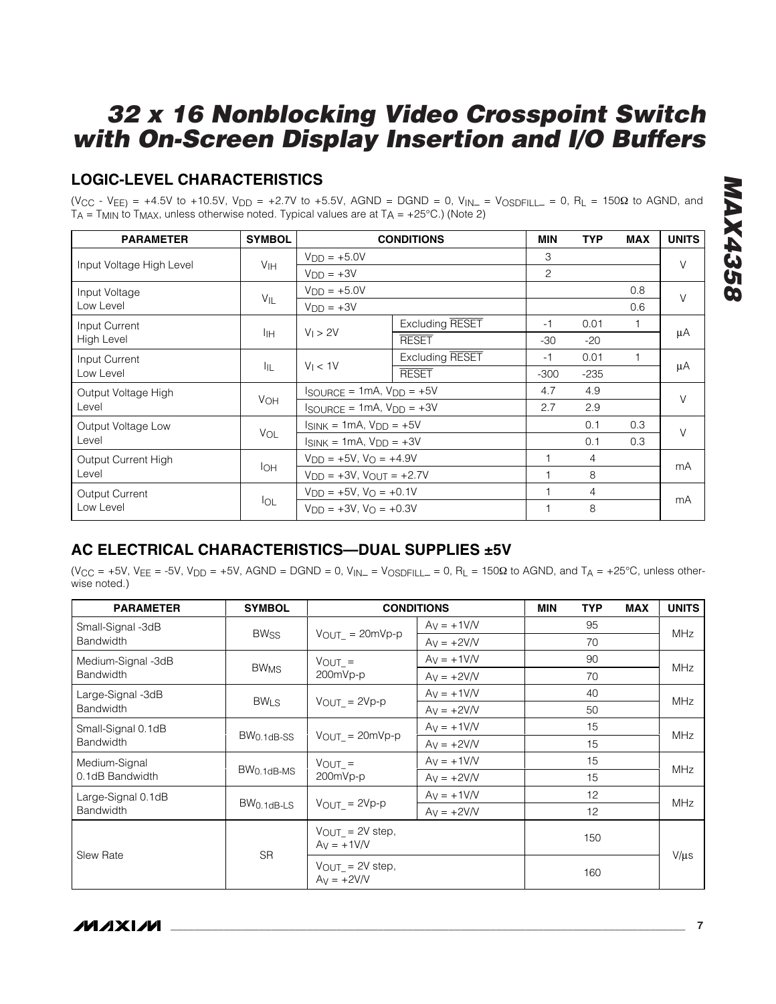### **LOGIC-LEVEL CHARACTERISTICS**

(V<sub>CC</sub> - V<sub>EE)</sub> = +4.5V to +10.5V, V<sub>DD</sub> = +2.7V to +5.5V, AGND = DGND = 0, V<sub>IN</sub> = V<sub>OSDFILL</sub> = 0, R<sub>L</sub> = 150Ω to AGND, and  $T_A$  = T<sub>MIN</sub> to T<sub>MAX</sub>, unless otherwise noted. Typical values are at T<sub>A</sub> = +25°C.) (Note 2)

| <b>PARAMETER</b>         | <b>SYMBOL</b>   |                                                           | <b>CONDITIONS</b>      | <b>MIN</b>     | <b>TYP</b>     | <b>MAX</b> | <b>UNITS</b> |
|--------------------------|-----------------|-----------------------------------------------------------|------------------------|----------------|----------------|------------|--------------|
|                          |                 | $VDD = +5.0V$                                             |                        | 3              |                |            | V            |
| Input Voltage High Level | V <sub>IH</sub> | $VDD = +3V$                                               |                        | $\overline{c}$ |                |            |              |
| Input Voltage            | $V_{\parallel}$ | $VDD = +5.0V$                                             |                        |                |                | 0.8        | $\vee$       |
| Low Level                |                 | $VDD = +3V$                                               |                        |                |                | 0.6        |              |
| Input Current            |                 |                                                           | <b>Excluding RESET</b> | -1             | 0.01           |            |              |
| High Level               | Iін             | $V_1 > 2V$                                                | <b>RESET</b>           | $-30$          | $-20$          |            | μA           |
| Input Current            |                 | V <sub>1</sub> < 1V                                       | <b>Excluding RESET</b> | -1             | 0.01           |            |              |
| Low Level                | ĪЩ              |                                                           | <b>RESET</b>           | $-300$         | $-235$         |            | μA           |
| Output Voltage High      |                 | $I_{\text{SOURCE}} = 1 \text{mA}$ , $V_{\text{DD}} = +5V$ |                        | 4.7            | 4.9            |            | V            |
| Level                    | <b>VOH</b>      | $I$ SOURCE = 1mA, $V_{DD}$ = +3V                          |                        | 2.7            | 2.9            |            |              |
| Output Voltage Low       |                 | $I_{SINK} = 1mA$ , $V_{DD} = +5V$                         |                        |                | 0.1            | 0.3        | $\vee$       |
| Level                    | VOL             | $I_{SINK} = 1mA$ , $V_{DD} = +3V$                         |                        |                | 0.1            | 0.3        |              |
| Output Current High      |                 | $V_{DD} = +5V$ , $V_{O} = +4.9V$                          |                        |                | $\overline{4}$ |            | mA           |
| Level                    | $I_{OH}$        | $V_{DD} = +3V$ , $V_{OUT} = +2.7V$                        |                        |                | 8              |            |              |
| <b>Output Current</b>    |                 | $V_{DD} = +5V$ , $V_{O} = +0.1V$                          |                        |                | 4              |            |              |
| Low Level                | $I_{OL}$        | $V_{DD} = +3V$ . $V_{O} = +0.3V$                          |                        |                | 8              |            | mA           |

### **AC ELECTRICAL CHARACTERISTICS—DUAL SUPPLIES ±5V**

(V<sub>CC</sub> = +5V, V<sub>EE</sub> = -5V, V<sub>DD</sub> = +5V, AGND = DGND = 0, V<sub>IN</sub> = V<sub>OSDFILL</sub> = 0, R<sub>L</sub> = 150Ω to AGND, and T<sub>A</sub> = +25°C, unless otherwise noted.)

| <b>PARAMETER</b>   | <b>SYMBOL</b>  |                                                    | <b>CONDITIONS</b> | <b>MIN</b> | <b>TYP</b> | <b>MAX</b> | <b>UNITS</b> |  |
|--------------------|----------------|----------------------------------------------------|-------------------|------------|------------|------------|--------------|--|
| Small-Signal -3dB  | <b>BWss</b>    | $V_{OUT} = 20mVp-p$                                | $Ay = +1V/V$      |            | 95         |            | <b>MHz</b>   |  |
| <b>Bandwidth</b>   |                |                                                    | $Ay = +2V/V$      |            | 70         |            |              |  |
| Medium-Signal -3dB | <b>BWMS</b>    | $V_{OUT}$ =                                        | $Av = +1V/V$      |            | 90         |            | <b>MHz</b>   |  |
| <b>Bandwidth</b>   |                | 200mVp-p                                           | $Av = +2V/V$      |            | 70         |            |              |  |
| Large-Signal -3dB  |                |                                                    | $Av = +1V/V$      |            | 40         |            | <b>MHz</b>   |  |
| <b>Bandwidth</b>   | $BW_{LS}$      | $V_{OUT} = 2Vp-p$                                  | $Av = +2V/V$      |            | 50         |            |              |  |
| Small-Signal 0.1dB |                |                                                    | $Av = +1V/V$      |            | 15         |            | <b>MHz</b>   |  |
| <b>Bandwidth</b>   | $BW0.1dB-SS$   | $V_{OUT} = 20mVp-p$                                | $Av = +2V/V$      |            | 15         |            |              |  |
| Medium-Signal      |                | $V$ OUT =                                          | $Av = +1V/V$      |            | 15         |            |              |  |
| 0.1dB Bandwidth    | $BW0.1dB-MS$   | 200mVp-p                                           | $Ay = +2V/V$      |            | 15         |            | <b>MHz</b>   |  |
| Large-Signal 0.1dB |                |                                                    | $Av = +1V/V$      |            | 12         |            |              |  |
| <b>Bandwidth</b>   | $BW0.1dB - LS$ | $V_{OUT} = 2Vp-p$                                  | $Av = +2V/V$      |            | 12         |            | <b>MHz</b>   |  |
|                    | <b>SR</b>      | $V_{\text{OUT}} = 2V$ step,<br>$Av = +1V/V$        |                   |            | 150        |            |              |  |
| <b>Slew Rate</b>   |                | $V_{\text{OUT}} = 2V \text{ step}$<br>$Ay = +2V/V$ |                   |            | 160        |            | $V/\mu s$    |  |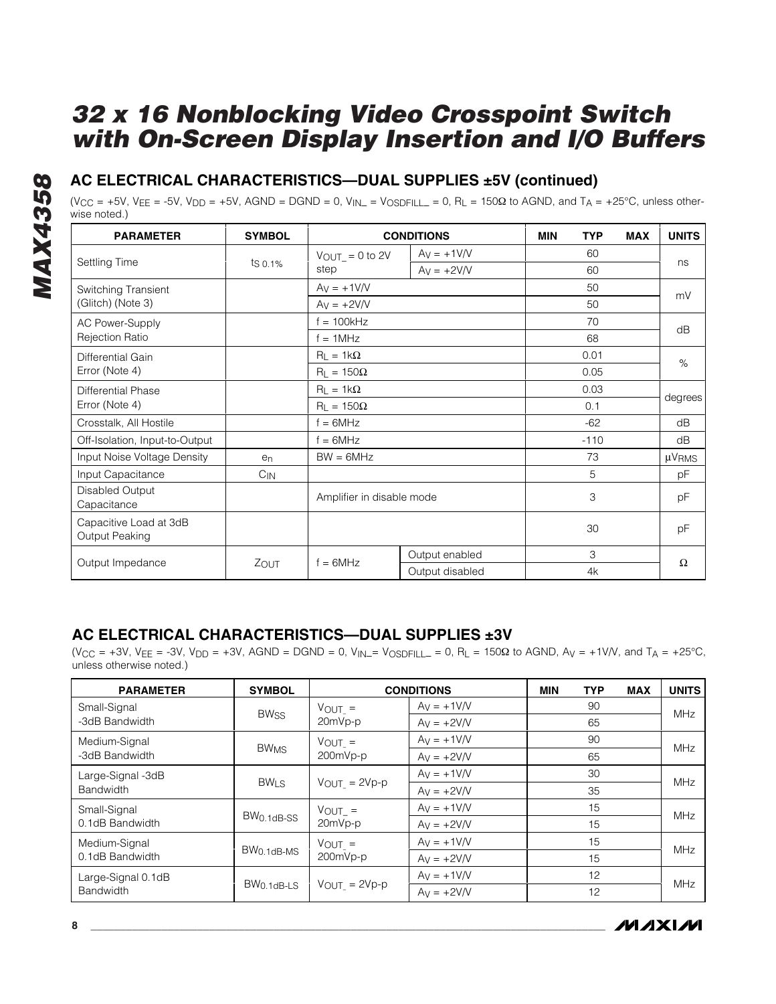### **AC ELECTRICAL CHARACTERISTICS—DUAL SUPPLIES ±5V (continued)**

(V<sub>CC</sub> = +5V, V<sub>EE</sub> = -5V, V<sub>DD</sub> = +5V, AGND = DGND = 0, V<sub>IN</sub> = V<sub>OSDFILL</sub> = 0, R<sub>L</sub> = 150 $\Omega$  to AGND, and T<sub>A</sub> = +25°C, unless otherwise noted.)

| <b>PARAMETER</b>                         | <b>SYMBOL</b>   |                           | <b>CONDITIONS</b> | <b>MIN</b> | <b>TYP</b> | <b>MAX</b> | <b>UNITS</b>           |
|------------------------------------------|-----------------|---------------------------|-------------------|------------|------------|------------|------------------------|
|                                          |                 | $V_{OUT} = 0$ to 2V       | $Av = +1V/V$      |            | 60         |            |                        |
| Settling Time                            | $\sqrt{50.1\%}$ | step                      | $Av = +2V/V$      |            | 60         |            | ns                     |
| Switching Transient                      |                 | $Ay = +1V/V$              |                   |            | 50         |            | mV                     |
| (Glitch) (Note 3)                        |                 | $Ay = +2V/V$              |                   |            | 50         |            |                        |
| <b>AC Power-Supply</b>                   |                 | $f = 100kHz$              |                   |            | 70         |            | dB                     |
| <b>Rejection Ratio</b>                   |                 | $f = 1MHz$                |                   | 68         |            |            |                        |
| Differential Gain                        |                 | $R_L = 1k\Omega$          |                   |            | 0.01       |            | $\%$                   |
| Error (Note 4)                           |                 | $R_{L} = 150\Omega$       | 0.05              |            |            |            |                        |
| Differential Phase                       |                 | $R_L = 1k\Omega$          |                   |            | 0.03       |            |                        |
| Error (Note 4)                           |                 | $R_1 = 150\Omega$         |                   |            | 0.1        |            | degrees                |
| Crosstalk, All Hostile                   |                 | $f = 6MHz$                |                   |            | $-62$      |            | dB                     |
| Off-Isolation, Input-to-Output           |                 | $f = 6MHz$                |                   |            | $-110$     |            | dB                     |
| Input Noise Voltage Density              | $e_n$           | $BW = 6MHz$               |                   |            | 73         |            | $\mu$ V <sub>RMS</sub> |
| Input Capacitance                        | $C_{IN}$        |                           |                   |            | 5          |            | рF                     |
| Disabled Output<br>Capacitance           |                 | Amplifier in disable mode |                   |            | 3          |            | pF                     |
| Capacitive Load at 3dB<br>Output Peaking |                 |                           |                   |            | 30         |            | pF                     |
|                                          |                 | $f = 6MHz$                | Output enabled    |            | 3          |            |                        |
| Output Impedance                         | ZOUT            |                           | Output disabled   |            | 4k         |            | Ω                      |

#### **AC ELECTRICAL CHARACTERISTICS—DUAL SUPPLIES ±3V**

 $(V_{CC} = +3V, V_{FE} = -3V, V_{DD} = +3V, AGND = DGND = 0, V_{IN} = V_{OSDFILL} = 0, R_L = 150\Omega$  to AGND,  $Av = +1V/V$ , and  $TA = +25^{\circ}C,$ unless otherwise noted.)

| <b>PARAMETER</b>   | <b>SYMBOL</b>          |                          | <b>CONDITIONS</b> | <b>MIN</b> | <b>TYP</b> | <b>MAX</b> | <b>UNITS</b> |  |
|--------------------|------------------------|--------------------------|-------------------|------------|------------|------------|--------------|--|
| Small-Signal       | <b>BWss</b>            | $V_{OUT}$ =              | $Av = +1$ V/V     |            | 90         |            | <b>MHz</b>   |  |
| -3dB Bandwidth     |                        | 20mVp-p                  | $Av = +2V/V$      |            | 65         |            |              |  |
| Medium-Signal      | BW <sub>MS</sub>       | $V_{OUT}$ =              | $Av = +1$ V/V     |            | 90         |            | MHz          |  |
| -3dB Bandwidth     |                        | 200mVp-p                 | $Av = +2V/V$      |            | 65         |            |              |  |
| Large-Signal -3dB  | <b>BWLS</b>            |                          | $Av = +1$ V/V     |            | 30         |            | MHz          |  |
| <b>Bandwidth</b>   |                        | $V_{OUT} = 2Vp-p$        | $Av = +2V/V$      |            | 35         |            |              |  |
| Small-Signal       |                        | $V_{OUT}$ =              | $Av = +1$ V/V     |            | 15         |            | MHz          |  |
| 0.1dB Bandwidth    | BW <sub>0.1dB-SS</sub> | 20mVp-p                  | $Av = +2V/V$      |            | 15         |            |              |  |
| Medium-Signal      |                        | $V_{OUT}$ =              | $Av = +1$ V/V     |            | 15         |            | MHz          |  |
| 0.1dB Bandwidth    | $BW0.1dB$ -MS          | 200mVp-p                 | $Av = +2V/V$      |            | 15         |            |              |  |
| Large-Signal 0.1dB | $BW0.1dB$ -LS          |                          | $Av = +1$ V/V     |            | 12         |            | MHz          |  |
| Bandwidth          |                        | $V_{\text{OUT}} = 2Vp-p$ | $Ay = +2V/V$      |            | 12         |            |              |  |

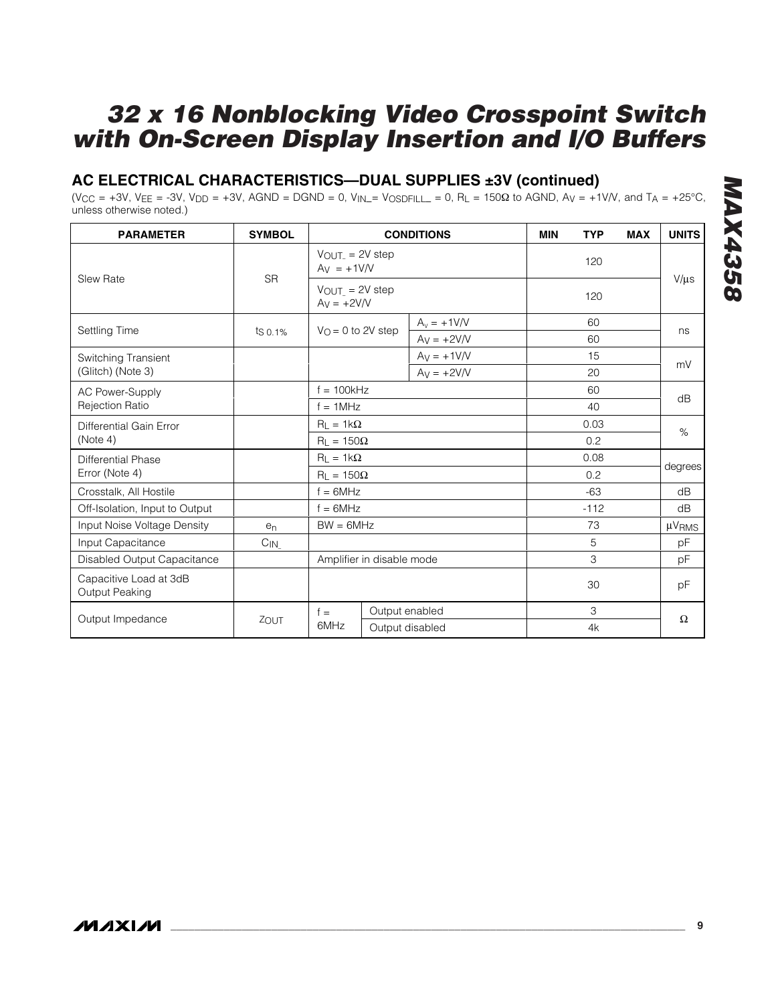### **AC ELECTRICAL CHARACTERISTICS—DUAL SUPPLIES ±3V (continued)**

 $(V_{CC} = +3V, V_{EE} = -3V, V_{DD} = +3V, AGND = DGND = 0, V_{IN} = V_{OSDFILL} = 0, R_L = 150\Omega$  to AGND,  $Av = +1V/V$ , and  $T_A = +25°C$ , unless otherwise noted.)

| <b>PARAMETER</b>                         | <b>SYMBOL</b>  |                                       | <b>CONDITIONS</b>   |      |        | <b>MAX</b> | <b>UNITS</b>      |      |
|------------------------------------------|----------------|---------------------------------------|---------------------|------|--------|------------|-------------------|------|
| Slew Rate                                |                | $Av = +1VN$                           | $V_{OUT}$ = 2V step |      |        |            |                   |      |
|                                          | <b>SR</b>      | $V_{OUT}$ = 2V step<br>$Av = +2V/V$   |                     | 120  |        |            | $V/\mu s$         |      |
|                                          |                |                                       | $A_v = +1V/V$       |      | 60     |            |                   |      |
| <b>Settling Time</b>                     | $ts\,0.1\%$    | $V_{\Omega} = 0$ to 2V step           | $Av = +2V/V$        |      | 60     |            | ns                |      |
| Switching Transient                      |                |                                       | $Av = +1$ V/V       |      | 15     |            | mV                |      |
| (Glitch) (Note 3)                        |                |                                       | $Av = +2V/V$        |      | 20     |            |                   |      |
| AC Power-Supply                          |                | $f = 100kHz$                          |                     |      | 60     |            | dB                |      |
| <b>Rejection Ratio</b>                   |                | $f = 1$ MHz<br>40                     |                     |      |        |            |                   |      |
| Differential Gain Error                  |                | $R_1 = 1k\Omega$<br>$R_L = 150\Omega$ |                     | 0.03 |        |            |                   | $\%$ |
| (Note 4)                                 |                |                                       |                     | 0.2  |        |            |                   |      |
| <b>Differential Phase</b>                |                | $R_L = 1k\Omega$                      |                     |      | 0.08   |            |                   |      |
| Error (Note 4)                           |                | $R_L = 150\Omega$                     |                     |      | 0.2    |            | degrees           |      |
| Crosstalk, All Hostile                   |                | $f = 6MHz$                            |                     |      | $-63$  |            | dB                |      |
| Off-Isolation, Input to Output           |                | $f = 6MHz$                            |                     |      | $-112$ |            | dB                |      |
| Input Noise Voltage Density              | e <sub>n</sub> | $BW = 6MHz$                           |                     |      | 73     |            | µV <sub>RMS</sub> |      |
| Input Capacitance                        | $C_{IN}$       |                                       |                     |      | 5      |            | pF                |      |
| Disabled Output Capacitance              |                | Amplifier in disable mode             |                     |      | 3      |            | pF                |      |
| Capacitive Load at 3dB<br>Output Peaking |                |                                       |                     |      |        |            | рF                |      |
|                                          |                | $f =$                                 | Output enabled      |      | 3      |            |                   |      |
| Output Impedance                         | ZOUT           | 6MHz                                  | Output disabled     |      | 4k     |            | Ω                 |      |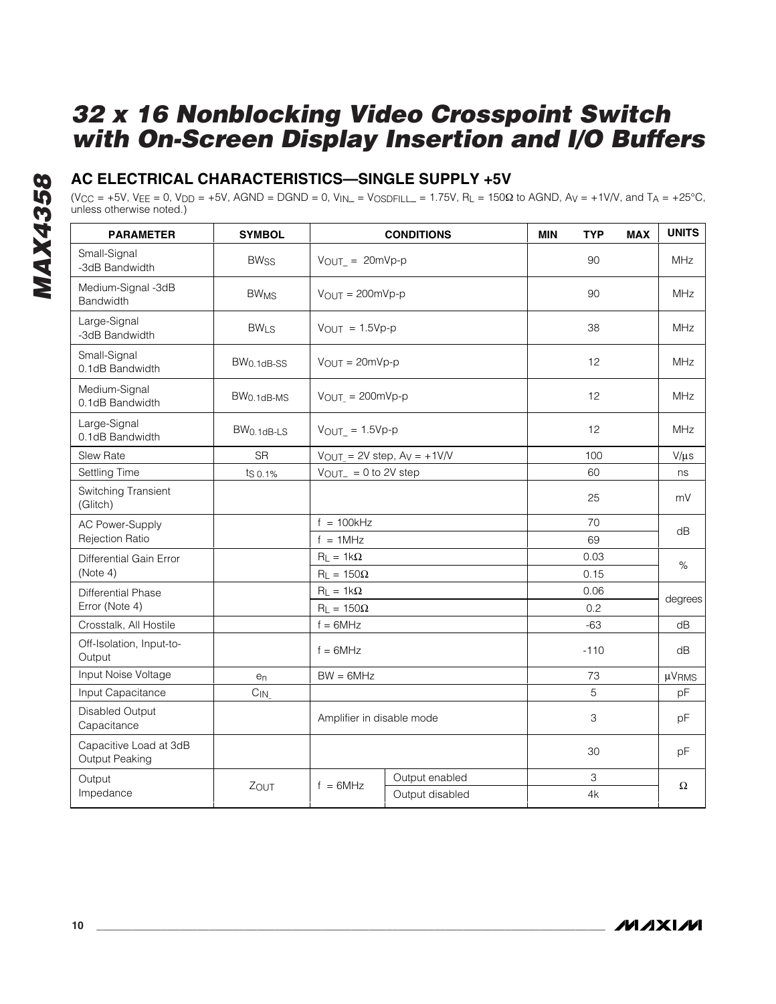### **AC ELECTRICAL CHARACTERISTICS—SINGLE SUPPLY +5V**

 $(V_{CC} = +5V, V_{EE} = 0, V_{DD} = +5V, AGND = DGND = 0, V_{IN} = V_{OSDFILL} = 1.75V, R<sub>L</sub> = 150\Omega$  to AGND,  $Av = +1V/V$ , and  $TA = +25^{\circ}C,$ unless otherwise noted.)

| <b>PARAMETER</b>                         | <b>SYMBOL</b>          |                                 | <b>CONDITIONS</b>                 | <b>MIN</b> | <b>TYP</b> | <b>MAX</b> | <b>UNITS</b>           |
|------------------------------------------|------------------------|---------------------------------|-----------------------------------|------------|------------|------------|------------------------|
| Small-Signal<br>-3dB Bandwidth           | <b>BWss</b>            | $V_{OUT}$ = 20mVp-p             |                                   |            | 90         |            | <b>MHz</b>             |
| Medium-Signal -3dB<br>Bandwidth          | <b>BW<sub>MS</sub></b> | $V_{OUT} = 200mVp-p$            |                                   |            | 90         |            | <b>MHz</b>             |
| Large-Signal<br>-3dB Bandwidth           | <b>BWLS</b>            | $V_{OUT} = 1.5Vp-p$             |                                   |            | 38         |            | <b>MHz</b>             |
| Small-Signal<br>0.1dB Bandwidth          | BW <sub>0.1dB-SS</sub> | $V_{OUT} = 20mVp-p$             |                                   |            | 12         |            | MHz                    |
| Medium-Signal<br>0.1dB Bandwidth         | BW <sub>0.1dB-MS</sub> | $V_{OUT} = 200mVp-p$            |                                   |            | 12         |            | <b>MHz</b>             |
| Large-Signal<br>0.1dB Bandwidth          | BW <sub>0.1dB-LS</sub> | $V_{\text{OUT}} = 1.5Vp-p$      |                                   |            | 12         |            | <b>MHz</b>             |
| Slew Rate                                | <b>SR</b>              |                                 | $V_{OUT}$ = 2V step, $Ay$ = +1V/V |            | 100        |            | $V/\mu s$              |
| Settling Time                            | ts 0.1%                | $V_{\text{OUT}} = 0$ to 2V step |                                   | 60         |            |            | ns                     |
| Switching Transient<br>(Glitch)          |                        |                                 |                                   |            | 25         |            | mV                     |
| <b>AC Power-Supply</b>                   |                        | $f = 100kHz$                    |                                   |            | 70         |            | dB                     |
| <b>Rejection Ratio</b>                   |                        | $f = 1MHz$                      |                                   |            | 69         |            |                        |
| Differential Gain Error                  |                        | $R_L = 1k\Omega$                |                                   |            | 0.03       |            | $\%$                   |
| (Note 4)                                 |                        | $R_L = 150\Omega$               |                                   |            | 0.15       |            |                        |
| <b>Differential Phase</b>                |                        | $R_L = 1k\Omega$                |                                   |            | 0.06       |            | degrees                |
| Error (Note 4)                           |                        | $R_L = 150\Omega$               |                                   |            | 0.2        |            |                        |
| Crosstalk, All Hostile                   |                        | $f = 6MHz$                      |                                   |            | $-63$      |            | dB                     |
| Off-Isolation, Input-to-<br>Output       |                        | $f = 6MHz$                      |                                   |            | $-110$     |            | dB                     |
| Input Noise Voltage                      | e <sub>n</sub>         | $BW = 6MHz$                     |                                   |            | 73         |            | $\mu$ V <sub>RMS</sub> |
| Input Capacitance                        | $C_{IN}$               |                                 |                                   |            | 5          |            | pF                     |
| Disabled Output<br>Capacitance           |                        | Amplifier in disable mode       |                                   |            | 3          |            | pF                     |
| Capacitive Load at 3dB<br>Output Peaking |                        |                                 |                                   |            | 30         |            | pF                     |
| Output                                   |                        | $f = 6MHz$                      | Output enabled                    |            | 3          |            | Ω                      |
| Impedance                                | ZOUT                   |                                 | Output disabled                   | 4k         |            |            |                        |

**MAXIM**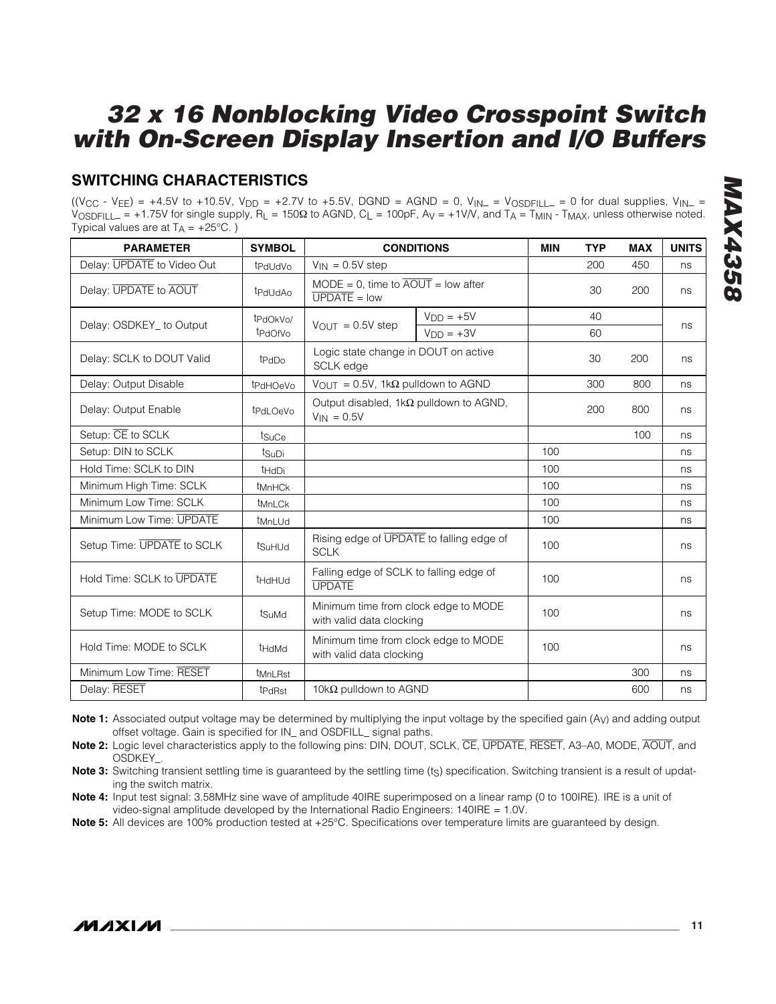### **SWITCHING CHARACTERISTICS**

 $((V_{CC} - V_{EE}) = +4.5V$  to +10.5V,  $V_{DD} = +2.7V$  to +5.5V, DGND = AGND = 0,  $V_{IN} = V_{OSDFILL} = 0$  for dual supplies,  $V_{IN} =$  $V_{\text{OSDFILL}} = +1.75V$  for single supply,  $R_L = 150\Omega$  to AGND,  $C_L = 100pF$ ,  $A_V = +1V/V$ , and  $T_A = T_{\text{MIN}}$  -  $T_{\text{MAX}}$ , unless otherwise noted. Typical values are at  $T_A = +25^{\circ}C$ .)

| <b>PARAMETER</b>           | <b>SYMBOL</b>                    |                                                                      | <b>CONDITIONS</b> | <b>MIN</b> | <b>TYP</b> | <b>MAX</b> | <b>UNITS</b> |
|----------------------------|----------------------------------|----------------------------------------------------------------------|-------------------|------------|------------|------------|--------------|
| Delay: UPDATE to Video Out | t <sub>PdUdVo</sub>              | $V_{IN} = 0.5V$ step                                                 |                   |            | 200        | 450        | ns           |
| Delay: UPDATE to AOUT      | t <sub>PdUd</sub> A <sub>0</sub> | $MODE = 0$ , time to $\overline{AOUT}$ = low after<br>$UPDATE = low$ |                   |            | 30         | 200        | ns           |
|                            | t <sub>PdOkVo</sub>              |                                                                      | $VDD = +5V$       |            | 40         |            |              |
| Delay: OSDKEY to Output    | t <sub>PdOfVo</sub>              | $V_{\text{OUT}} = 0.5V$ step                                         | $VDD = +3V$       |            | 60         |            | ns           |
| Delay: SCLK to DOUT Valid  | t <sub>PdDo</sub>                | Logic state change in DOUT on active<br><b>SCLK</b> edge             |                   |            | 30         | 200        | ns           |
| Delay: Output Disable      | t <sub>PdHOeVo</sub>             | $V_{\text{OUT}} = 0.5V$ , 1k $\Omega$ pulldown to AGND               |                   |            | 300        | 800        | ns           |
| Delay: Output Enable       | tPdLOeVo                         | Output disabled, $1k\Omega$ pulldown to AGND,<br>$V_{IN} = 0.5V$     |                   |            | 200        | 800        | ns           |
| Setup: CE to SCLK          | t <sub>SuCe</sub>                |                                                                      |                   |            |            | 100        | ns           |
| Setup: DIN to SCLK         | tsuDi                            |                                                                      |                   | 100        |            |            | ns           |
| Hold Time: SCLK to DIN     | t <sub>HdDi</sub>                |                                                                      |                   | 100        |            |            | ns           |
| Minimum High Time: SCLK    | t <sub>MnHCk</sub>               |                                                                      |                   | 100        |            |            | ns           |
| Minimum Low Time: SCLK     | tMnLCk                           |                                                                      |                   | 100        |            |            | ns           |
| Minimum Low Time: UPDATE   | t <sub>MnLUd</sub>               |                                                                      |                   | 100        |            |            | ns           |
| Setup Time: UPDATE to SCLK | tSuHUd                           | Rising edge of UPDATE to falling edge of<br><b>SCLK</b>              |                   | 100        |            |            | ns           |
| Hold Time: SCLK to UPDATE  | t <sub>HdHUd</sub>               | Falling edge of SCLK to falling edge of<br><b>UPDATE</b>             |                   | 100        |            |            | ns           |
| Setup Time: MODE to SCLK   | tsuMd                            | Minimum time from clock edge to MODE<br>with valid data clocking     |                   | 100        |            |            | ns           |
| Hold Time: MODE to SCLK    | <b>tHdMd</b>                     | Minimum time from clock edge to MODE<br>with valid data clocking     |                   | 100        |            |            | ns           |
| Minimum Low Time: RESET    | <i><b>UMnLRst</b></i>            |                                                                      |                   |            |            | 300        | ns           |
| Delay: RESET               | t <sub>PdRst</sub>               | 10k $\Omega$ pulldown to AGND                                        |                   |            |            | 600        | ns           |

*MAX4358*

**MAX435** 

**Note 1:** Associated output voltage may be determined by multiplying the input voltage by the specified gain (A<sub>V</sub>) and adding output offset voltage. Gain is specified for IN\_ and OSDFILL\_ signal paths.

**Note 2:** Logic level characteristics apply to the following pins: DIN, DOUT, SCLK, CE, UPDATE, RESET, A3–A0, MODE, AOUT, and OSDKEY\_.

Note 3: Switching transient settling time is guaranteed by the settling time (ts) specification. Switching transient is a result of updating the switch matrix.

**Note 4:** Input test signal: 3.58MHz sine wave of amplitude 40IRE superimposed on a linear ramp (0 to 100IRE). IRE is a unit of video-signal amplitude developed by the International Radio Engineers: 140IRE = 1.0V.

**Note 5:** All devices are 100% production tested at +25°C. Specifications over temperature limits are guaranteed by design.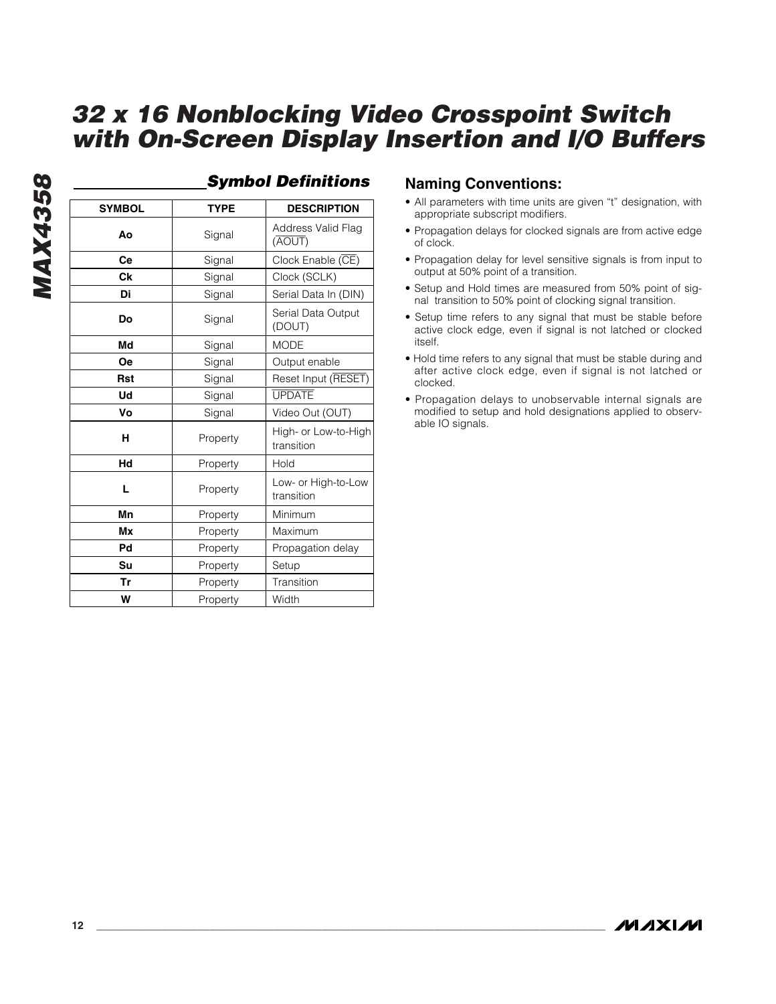| <b>SYMBOL</b> | <b>TYPE</b> | <b>DESCRIPTION</b>                 |
|---------------|-------------|------------------------------------|
| Aο            | Signal      | Address Valid Flag<br>(AOUT)       |
| Ce            | Signal      | Clock Enable (CE)                  |
| Ck            | Signal      | Clock (SCLK)                       |
| Di            | Signal      | Serial Data In (DIN)               |
| Do            | Signal      | Serial Data Output<br>(DOUT)       |
| Md            | Signal      | <b>MODE</b>                        |
| <b>Oe</b>     | Signal      | Output enable                      |
| <b>Rst</b>    | Signal      | Reset Input (RESET)                |
| Ud            | Signal      | <b>UPDATE</b>                      |
| ۷o            | Signal      | Video Out (OUT)                    |
| н             | Property    | High- or Low-to-High<br>transition |
| Hd            | Property    | Hold                               |
| L             | Property    | Low- or High-to-Low<br>transition  |
| Mn            | Property    | Minimum                            |
| Mx            | Property    | Maximum                            |
| Pd            | Property    | Propagation delay                  |
| Su            | Property    | Setup                              |
| Tr            | Property    | Transition                         |
| W             | Property    | Width                              |

#### *Symbol Definitions*

#### **Naming Conventions:**

- All parameters with time units are given "t" designation, with appropriate subscript modifiers.
- Propagation delays for clocked signals are from active edge of clock.
- Propagation delay for level sensitive signals is from input to output at 50% point of a transition.
- Setup and Hold times are measured from 50% point of signal transition to 50% point of clocking signal transition.
- Setup time refers to any signal that must be stable before active clock edge, even if signal is not latched or clocked itself.
- Hold time refers to any signal that must be stable during and after active clock edge, even if signal is not latched or clocked.
- Propagation delays to unobservable internal signals are modified to setup and hold designations applied to observable IO signals.

*MAX4358*

**MAX4358**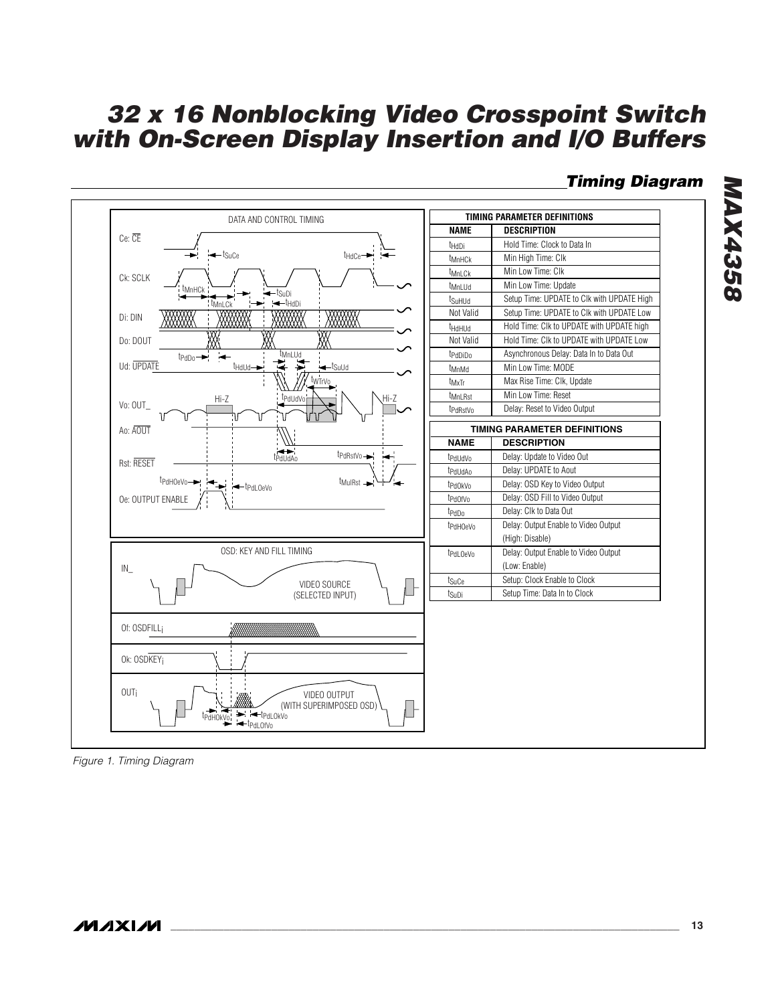### *Timing Diagram*



*Figure 1. Timing Diagram*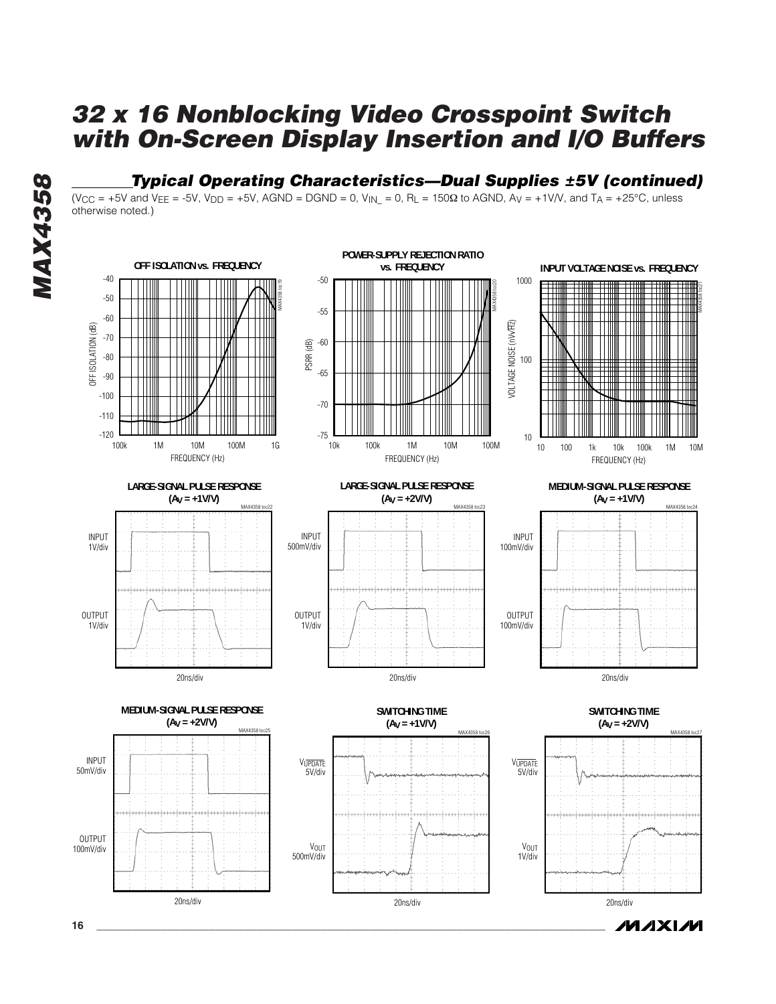#### *Typical Operating Characteristics—Dual Supplies ±5V (continued)*

 $(V_{CC} = +5V$  and  $V_{EE} = -5V$ ,  $V_{DD} = +5V$ , AGND = DGND = 0,  $V_{IN} = 0$ , R<sub>L</sub> = 150 $\Omega$  to AGND, A<sub>V</sub> = +1V/V, and T<sub>A</sub> = +25°C, unless otherwise noted.)

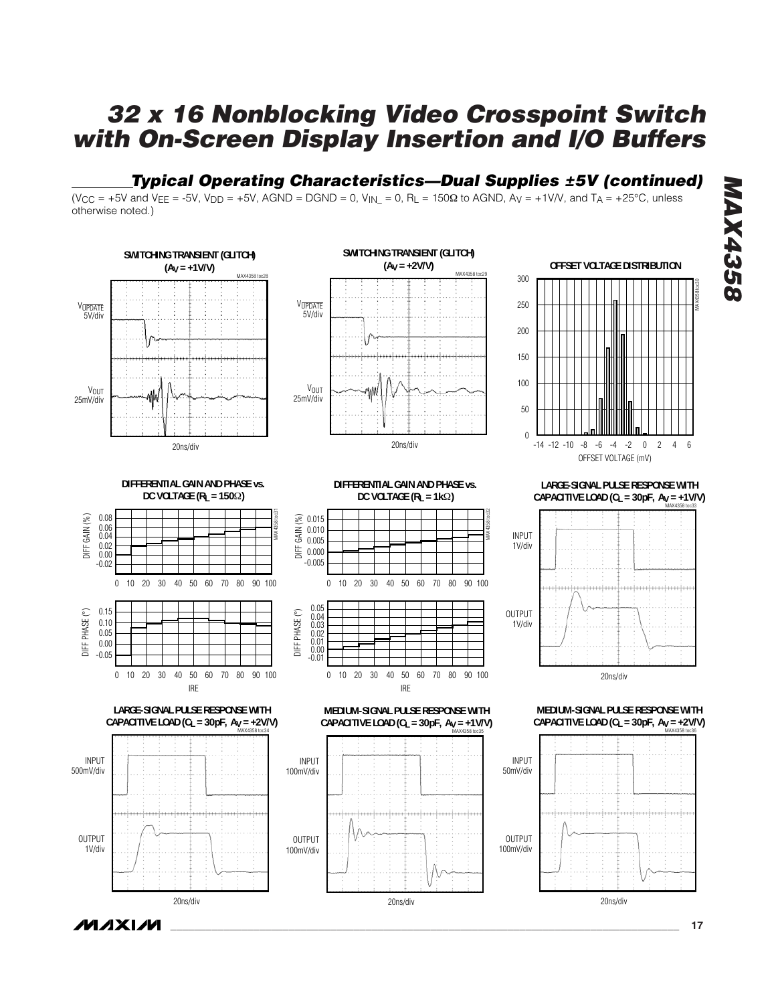### *Typical Operating Characteristics—Dual Supplies ±5V (continued)*

 $(V_{CC} = +5V$  and  $V_{EE} = -5V$ ,  $V_{DD} = +5V$ , AGND = DGND = 0,  $V_{IN} = 0$ , R<sub>L</sub> = 150 $\Omega$  to AGND, A<sub>V</sub> = +1V/V, and T<sub>A</sub> = +25°C, unless otherwise noted.)



*MAX4358* **MAX4358** 

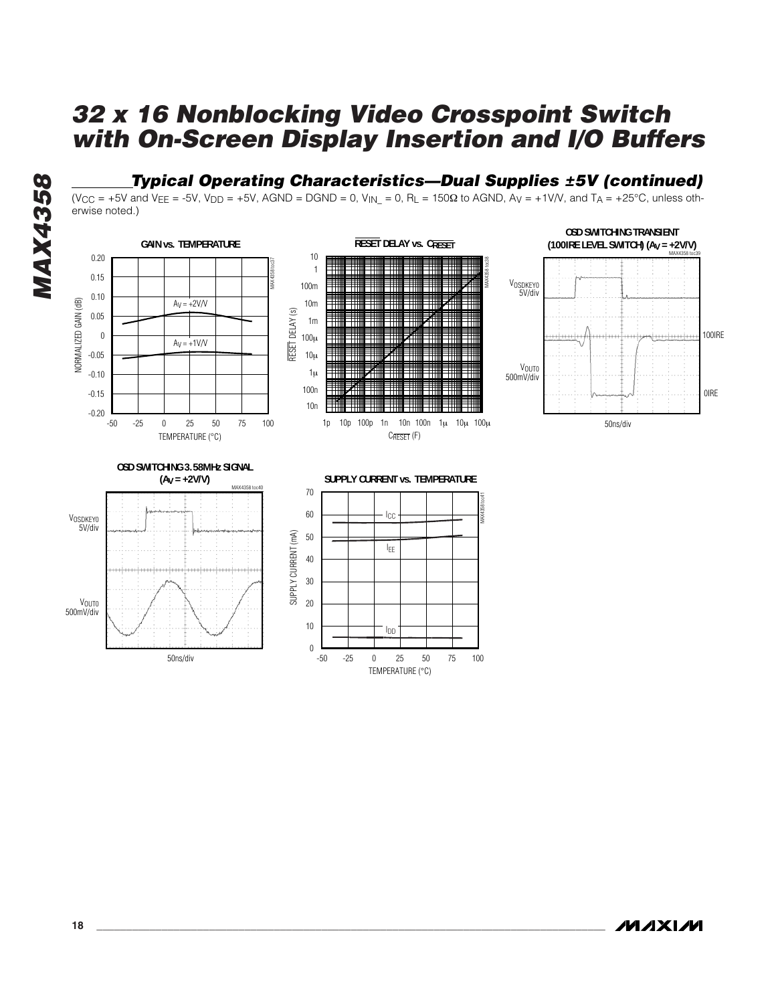### *Typical Operating Characteristics—Dual Supplies ±5V (continued)*

(V<sub>CC</sub> = +5V and V<sub>EE</sub> = -5V, V<sub>DD</sub> = +5V, AGND = DGND = 0, V<sub>IN</sub> = 0, R<sub>L</sub> = 150 $\Omega$  to AGND, A<sub>V</sub> = +1V/V, and T<sub>A</sub> = +25°C, unless otherwise noted.)



-50 0 25 -25 50 75 100

TEMPERATURE (°C)

 $\theta$ 

**MAX4358** *MAX4358*

*/VI/IXI/VI* 

50ns/div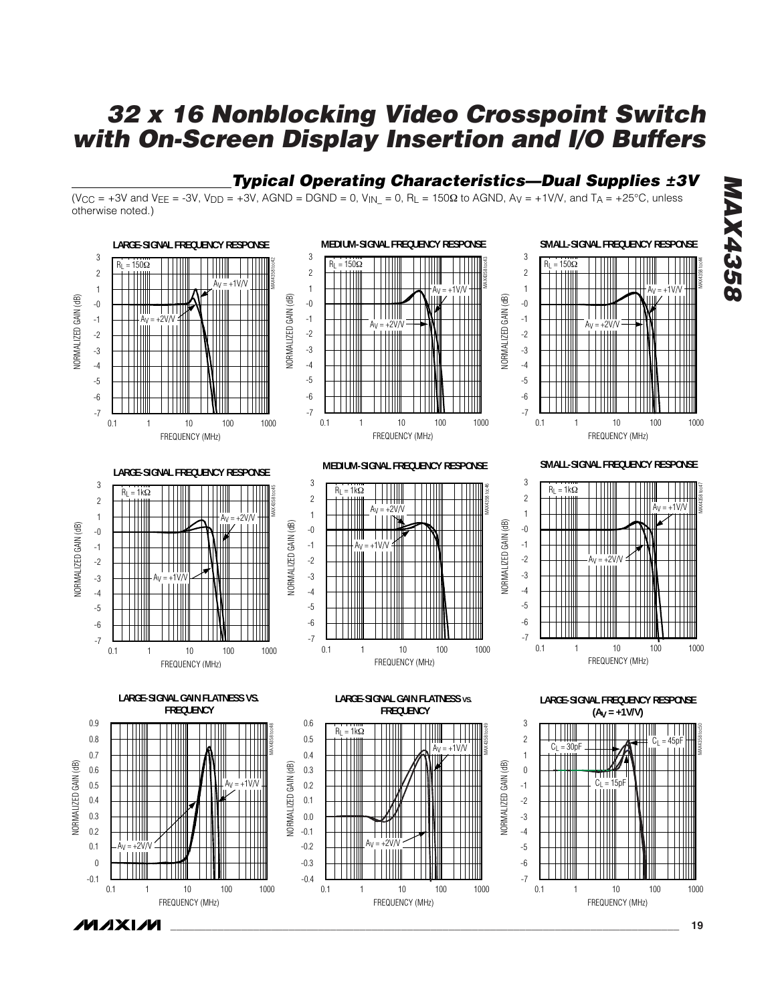### *Typical Operating Characteristics—Dual Supplies ±3V*

(V<sub>CC</sub> = +3V and V<sub>EE</sub> = -3V, V<sub>DD</sub> = +3V, AGND = DGND = 0, V<sub>IN</sub> = 0, R<sub>L</sub> = 150 $\Omega$  to AGND, A<sub>V</sub> = +1V/V, and T<sub>A</sub> = +25°C, unless otherwise noted.)



*MAX4358* **AX4358**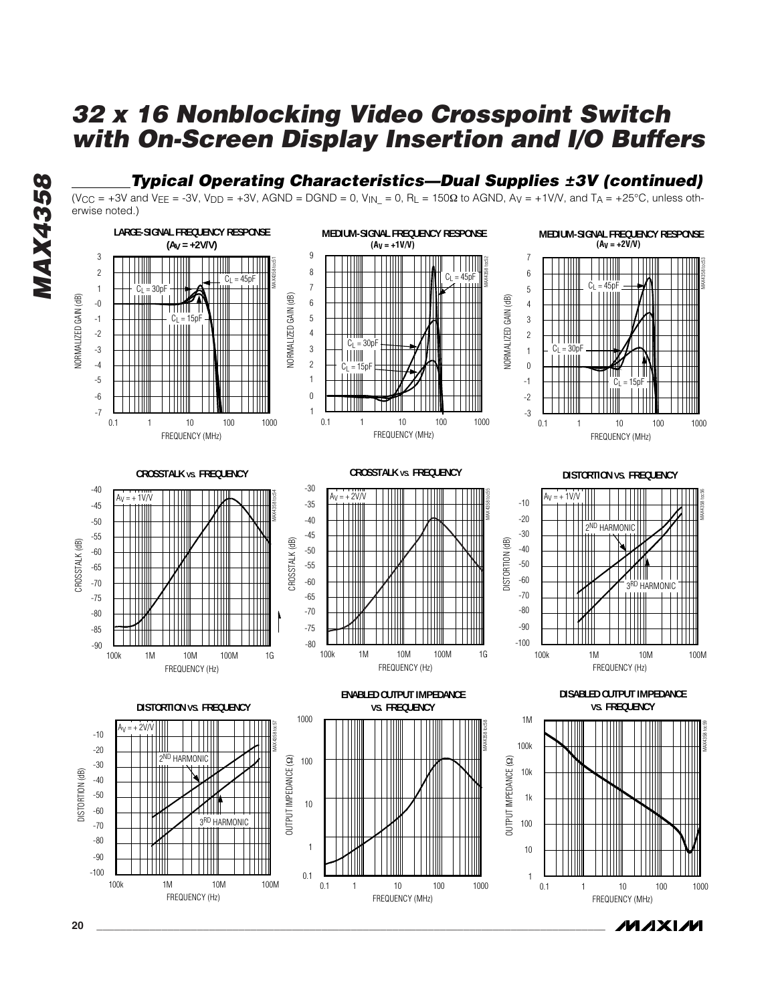### *Typical Operating Characteristics—Dual Supplies ±3V (continued)*

(V<sub>CC</sub> = +3V and V<sub>EE</sub> = -3V, V<sub>DD</sub> = +3V, AGND = DGND = 0, V<sub>IN</sub> = 0, R<sub>L</sub> = 150 $\Omega$  to AGND, A<sub>V</sub> = +1V/V, and T<sub>A</sub> = +25°C, unless otherwise noted.)



/VI/IXI/VI

**20 \_\_\_\_\_\_\_\_\_\_\_\_\_\_\_\_\_\_\_\_\_\_\_\_\_\_\_\_\_\_\_\_\_\_\_\_\_\_\_\_\_\_\_\_\_\_\_\_\_\_\_\_\_\_\_\_\_\_\_\_\_\_\_\_\_\_\_\_\_\_\_\_\_\_\_\_\_\_\_\_\_\_\_\_\_\_**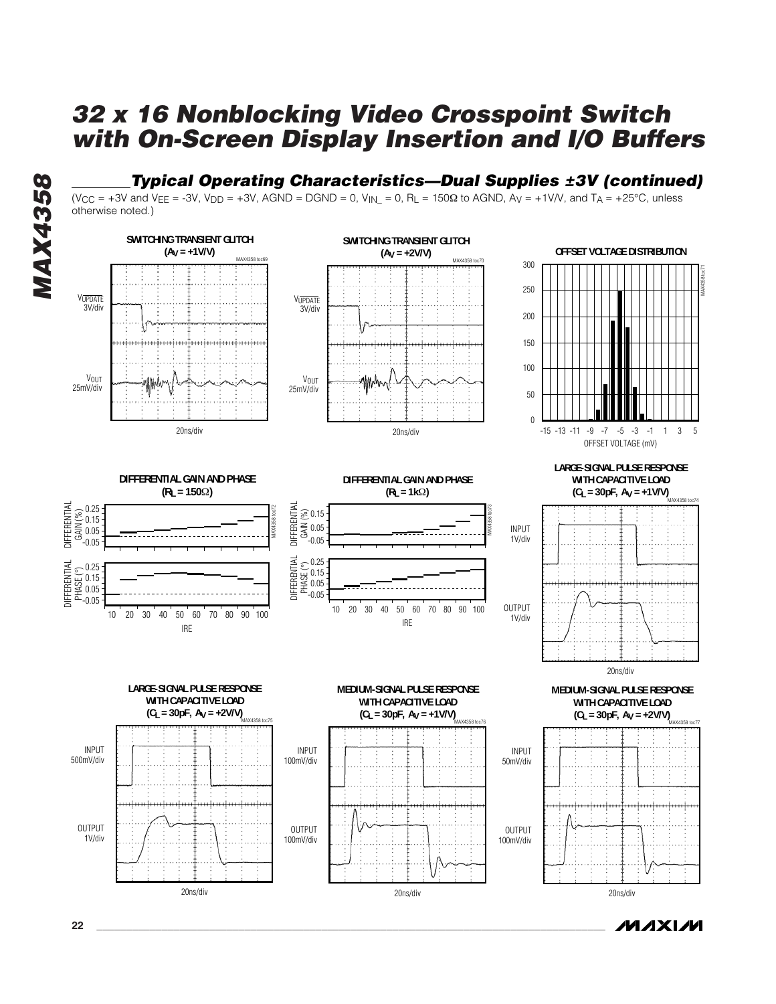### *Typical Operating Characteristics—Dual Supplies ±3V (continued)*

(V<sub>CC</sub> = +3V and V<sub>EE</sub> = -3V, V<sub>DD</sub> = +3V, AGND = DGND = 0, V<sub>IN</sub> = 0, R<sub>L</sub> = 150 $\Omega$  to AGND, A<sub>V</sub> = +1V/V, and T<sub>A</sub> = +25°C, unless otherwise noted.)



/VI/IXI/VI

**MAX4358** *MAX4358*

**22 \_\_\_\_\_\_\_\_\_\_\_\_\_\_\_\_\_\_\_\_\_\_\_\_\_\_\_\_\_\_\_\_\_\_\_\_\_\_\_\_\_\_\_\_\_\_\_\_\_\_\_\_\_\_\_\_\_\_\_\_\_\_\_\_\_\_\_\_\_\_\_\_\_\_\_\_\_\_\_\_\_\_\_\_\_\_**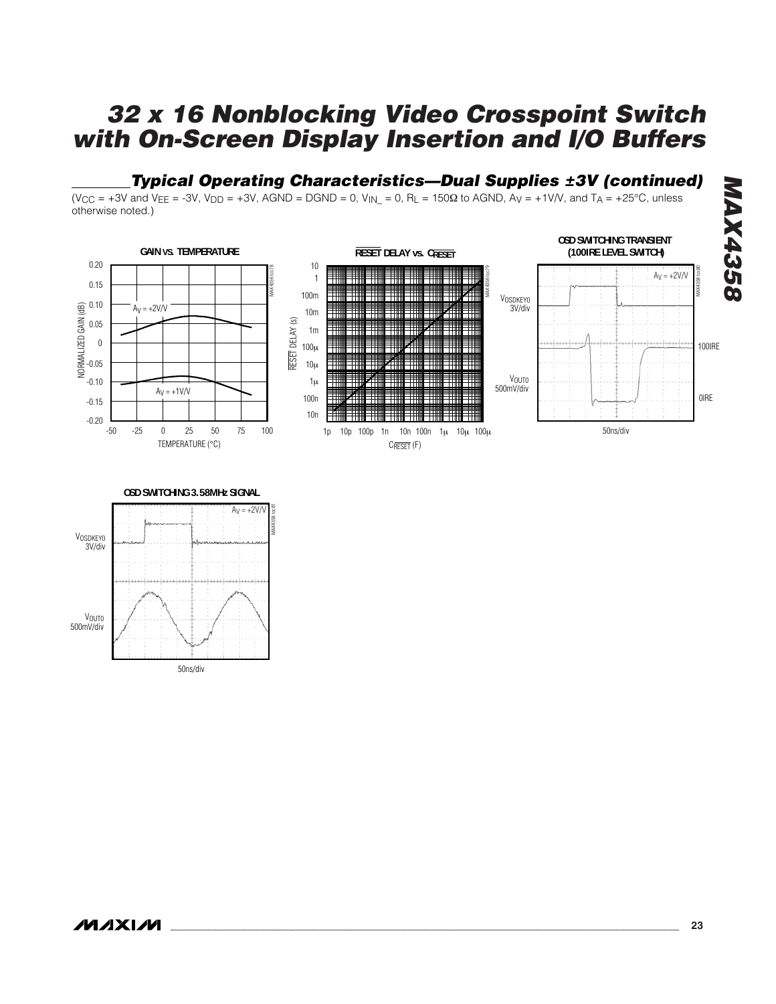#### *Typical Operating Characteristics—Dual Supplies ±3V (continued)*

 $(V_{CC} = +3V$  and  $V_{EE} = -3V$ ,  $V_{DD} = +3V$ , AGND = DGND = 0,  $V_{IN} = 0$ , R<sub>L</sub> = 150 $\Omega$  to AGND, A<sub>V</sub> = +1V/V, and T<sub>A</sub> = +25°C, unless otherwise noted.)



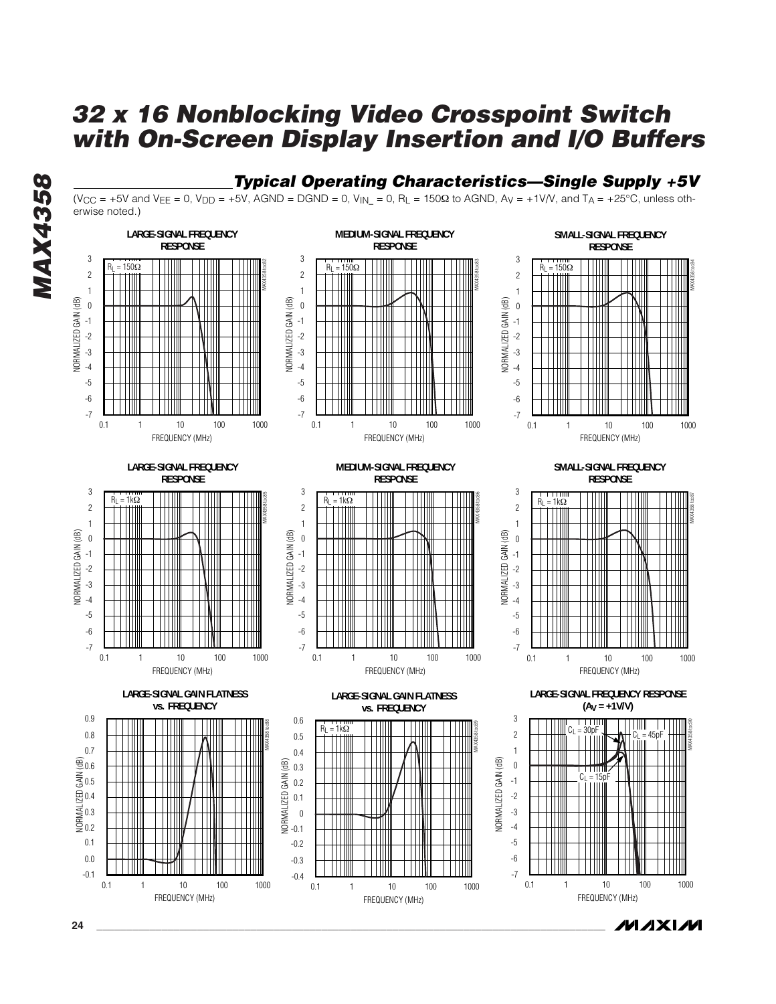*Typical Operating Characteristics—Single Supply +5V*



**MAX4358** *MAX4358*

**24 \_\_\_\_\_\_\_\_\_\_\_\_\_\_\_\_\_\_\_\_\_\_\_\_\_\_\_\_\_\_\_\_\_\_\_\_\_\_\_\_\_\_\_\_\_\_\_\_\_\_\_\_\_\_\_\_\_\_\_\_\_\_\_\_\_\_\_\_\_\_\_\_\_\_\_\_\_\_\_\_\_\_\_\_\_\_**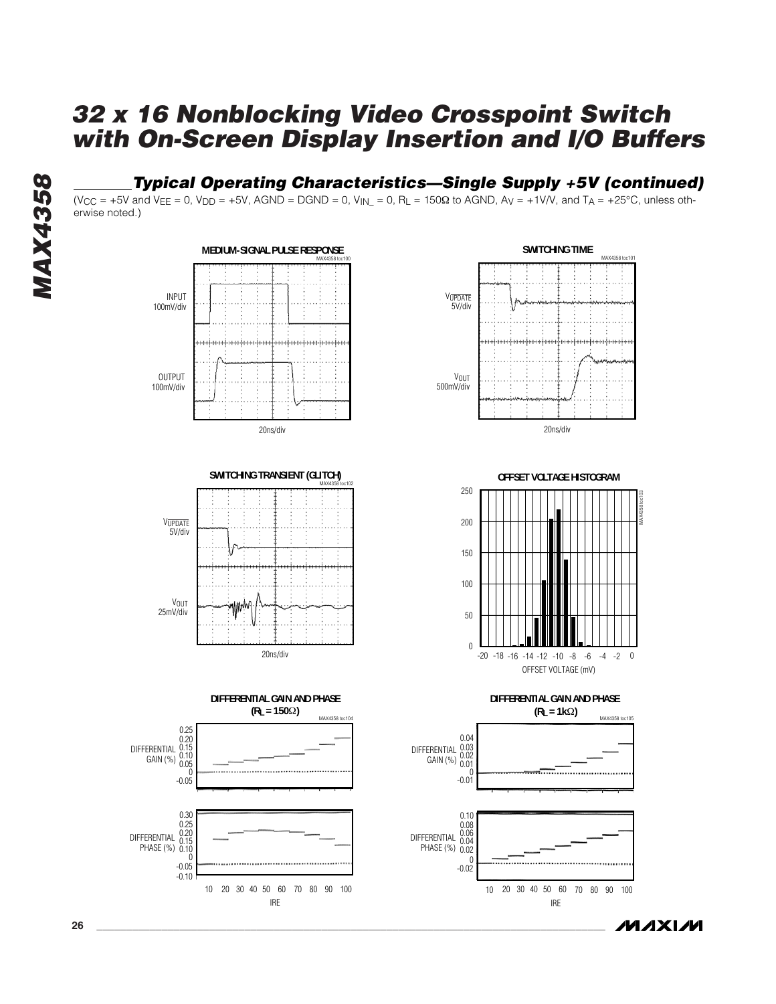### *Typical Operating Characteristics—Single Supply +5V (continued)*

(V<sub>CC</sub> = +5V and V<sub>EE</sub> = 0, V<sub>DD</sub> = +5V, AGND = DGND = 0, V<sub>IN</sub> = 0, R<sub>L</sub> = 150 $\Omega$  to AGND, A<sub>V</sub> = +1V/V, and T<sub>A</sub> = +25°C, unless otherwise noted.)









**DIFFERENTIAL GAIN AND PHASE (RL = 1k**Ω**)** MAX4358 toc105



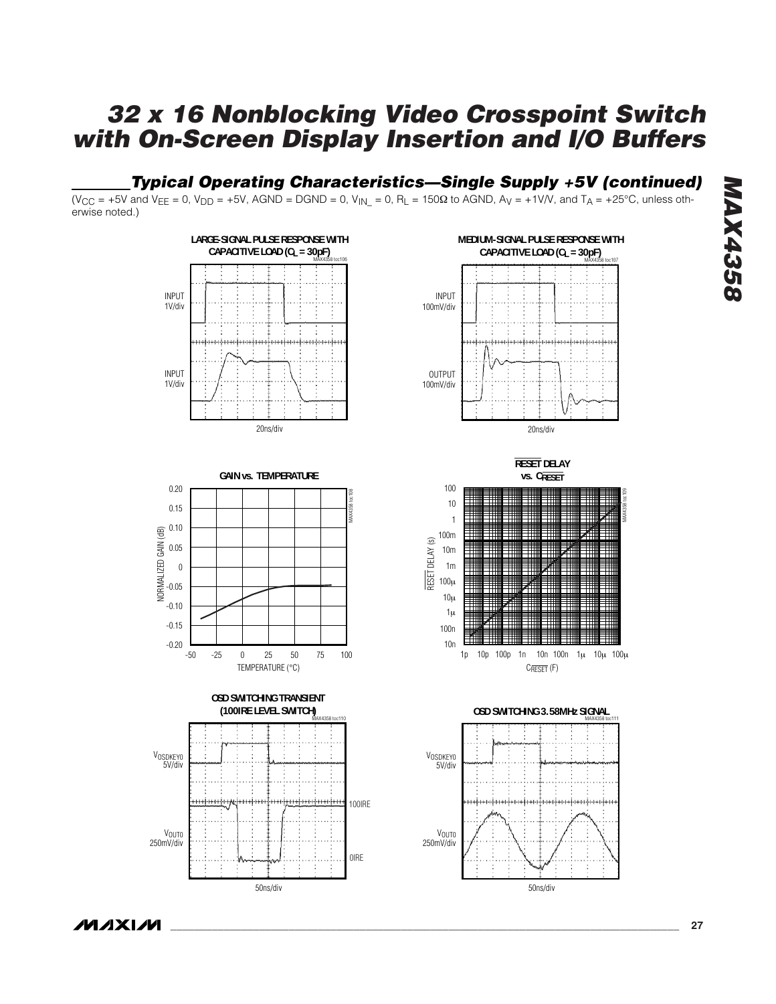#### *Typical Operating Characteristics—Single Supply +5V (continued)*

 $(V_{CC} = +5V$  and  $V_{EE} = 0$ ,  $V_{DD} = +5V$ , AGND = DGND = 0,  $V_{IN} = 0$ , R<sub>L</sub> = 150 $\Omega$  to AGND, A<sub>V</sub> = +1V/V, and T<sub>A</sub> = +25°C, unless otherwise noted.)









**RESET DELAY vs. CRESET**



**OSD SWITCHING 3.58MHz SIGNAL** MAX4358 toc111

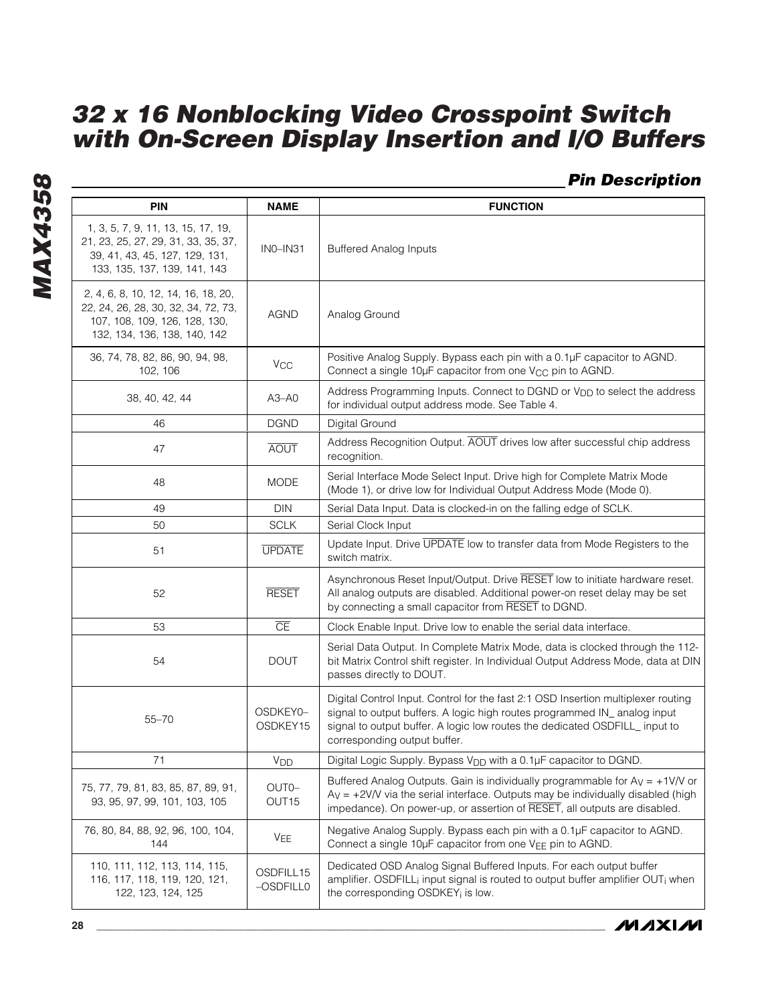*Pin Description*

| <b>PIN</b>                                                                                                                                  | <b>NAME</b>                | <b>FUNCTION</b>                                                                                                                                                                                                                                                               |
|---------------------------------------------------------------------------------------------------------------------------------------------|----------------------------|-------------------------------------------------------------------------------------------------------------------------------------------------------------------------------------------------------------------------------------------------------------------------------|
| 1, 3, 5, 7, 9, 11, 13, 15, 17, 19,<br>21, 23, 25, 27, 29, 31, 33, 35, 37,<br>39, 41, 43, 45, 127, 129, 131,<br>133, 135, 137, 139, 141, 143 | $INO-IN31$                 | <b>Buffered Analog Inputs</b>                                                                                                                                                                                                                                                 |
| 2, 4, 6, 8, 10, 12, 14, 16, 18, 20,<br>22, 24, 26, 28, 30, 32, 34, 72, 73,<br>107, 108, 109, 126, 128, 130,<br>132, 134, 136, 138, 140, 142 | <b>AGND</b>                | Analog Ground                                                                                                                                                                                                                                                                 |
| 36, 74, 78, 82, 86, 90, 94, 98,<br>102, 106                                                                                                 | <b>V<sub>CC</sub></b>      | Positive Analog Supply. Bypass each pin with a 0.1µF capacitor to AGND.<br>Connect a single 10µF capacitor from one V <sub>CC</sub> pin to AGND.                                                                                                                              |
| 38, 40, 42, 44                                                                                                                              | $A3 - A0$                  | Address Programming Inputs. Connect to DGND or V <sub>DD</sub> to select the address<br>for individual output address mode. See Table 4.                                                                                                                                      |
| 46                                                                                                                                          | <b>DGND</b>                | Digital Ground                                                                                                                                                                                                                                                                |
| 47                                                                                                                                          | <b>AOUT</b>                | Address Recognition Output. AOUT drives low after successful chip address<br>recognition.                                                                                                                                                                                     |
| 48                                                                                                                                          | <b>MODE</b>                | Serial Interface Mode Select Input. Drive high for Complete Matrix Mode<br>(Mode 1), or drive low for Individual Output Address Mode (Mode 0).                                                                                                                                |
| 49                                                                                                                                          | <b>DIN</b>                 | Serial Data Input. Data is clocked-in on the falling edge of SCLK.                                                                                                                                                                                                            |
| 50                                                                                                                                          | <b>SCLK</b>                | Serial Clock Input                                                                                                                                                                                                                                                            |
| 51                                                                                                                                          | <b>UPDATE</b>              | Update Input. Drive UPDATE low to transfer data from Mode Registers to the<br>switch matrix.                                                                                                                                                                                  |
| 52                                                                                                                                          | <b>RESET</b>               | Asynchronous Reset Input/Output. Drive RESET low to initiate hardware reset.<br>All analog outputs are disabled. Additional power-on reset delay may be set<br>by connecting a small capacitor from RESET to DGND.                                                            |
| 53                                                                                                                                          | $\overline{\text{CE}}$     | Clock Enable Input. Drive low to enable the serial data interface.                                                                                                                                                                                                            |
| 54                                                                                                                                          | <b>DOUT</b>                | Serial Data Output. In Complete Matrix Mode, data is clocked through the 112-<br>bit Matrix Control shift register. In Individual Output Address Mode, data at DIN<br>passes directly to DOUT.                                                                                |
| $55 - 70$                                                                                                                                   | OSDKEY0-<br>OSDKEY15       | Digital Control Input. Control for the fast 2:1 OSD Insertion multiplexer routing<br>signal to output buffers. A logic high routes programmed IN_ analog input<br>signal to output buffer. A logic low routes the dedicated OSDFILL_ input to<br>corresponding output buffer. |
| 71                                                                                                                                          | V <sub>DD</sub>            | Digital Logic Supply. Bypass V <sub>DD</sub> with a 0.1µF capacitor to DGND.                                                                                                                                                                                                  |
| 75, 77, 79, 81, 83, 85, 87, 89, 91,<br>93, 95, 97, 99, 101, 103, 105                                                                        | OUT0-<br>OUT <sub>15</sub> | Buffered Analog Outputs. Gain is individually programmable for $Av = +1V/V$ or<br>$Ay = +2V/V$ via the serial interface. Outputs may be individually disabled (high<br>impedance). On power-up, or assertion of RESET, all outputs are disabled.                              |
| 76, 80, 84, 88, 92, 96, 100, 104,<br>144                                                                                                    | VEE                        | Negative Analog Supply. Bypass each pin with a 0.1µF capacitor to AGND.<br>Connect a single 10µF capacitor from one VEE pin to AGND.                                                                                                                                          |
| 110, 111, 112, 113, 114, 115,<br>116, 117, 118, 119, 120, 121,<br>122, 123, 124, 125                                                        | OSDFILL15<br>-OSDFILL0     | Dedicated OSD Analog Signal Buffered Inputs. For each output buffer<br>amplifier. OSDFILL; input signal is routed to output buffer amplifier OUT; when<br>the corresponding OSDKEY; is low.                                                                                   |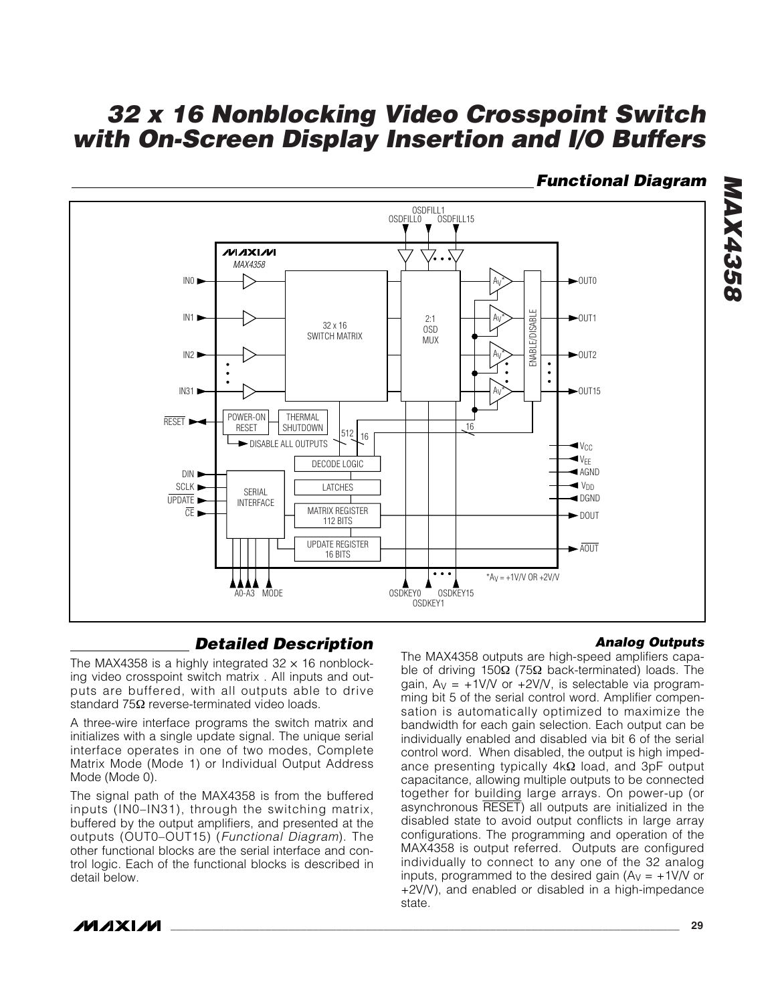#### *Functional Diagram*

*MAX4358*

**MAX4358** 



#### *Detailed Description*

The MAX4358 is a highly integrated  $32 \times 16$  nonblocking video crosspoint switch matrix . All inputs and outputs are buffered, with all outputs able to drive standard 75Ω reverse-terminated video loads.

A three-wire interface programs the switch matrix and initializes with a single update signal. The unique serial interface operates in one of two modes, Complete Matrix Mode (Mode 1) or Individual Output Address Mode (Mode 0).

The signal path of the MAX4358 is from the buffered inputs (IN0–IN31), through the switching matrix, buffered by the output amplifiers, and presented at the outputs (OUT0–OUT15) (*Functional Diagram*). The other functional blocks are the serial interface and control logic. Each of the functional blocks is described in detail below.

#### *Analog Outputs*

The MAX4358 outputs are high-speed amplifiers capable of driving 150Ω (75Ω back-terminated) loads. The gain,  $Av = +1$ V/V or  $+2$ V/V, is selectable via programming bit 5 of the serial control word. Amplifier compensation is automatically optimized to maximize the bandwidth for each gain selection. Each output can be individually enabled and disabled via bit 6 of the serial control word. When disabled, the output is high impedance presenting typically 4kΩ load, and 3pF output capacitance, allowing multiple outputs to be connected together for building large arrays. On power-up (or asynchronous RESET) all outputs are initialized in the disabled state to avoid output conflicts in large array configurations. The programming and operation of the MAX4358 is output referred. Outputs are configured individually to connect to any one of the 32 analog inputs, programmed to the desired gain  $(A<sub>V</sub> = +1<sup>V</sup>/V$  or +2V/V), and enabled or disabled in a high-impedance state.

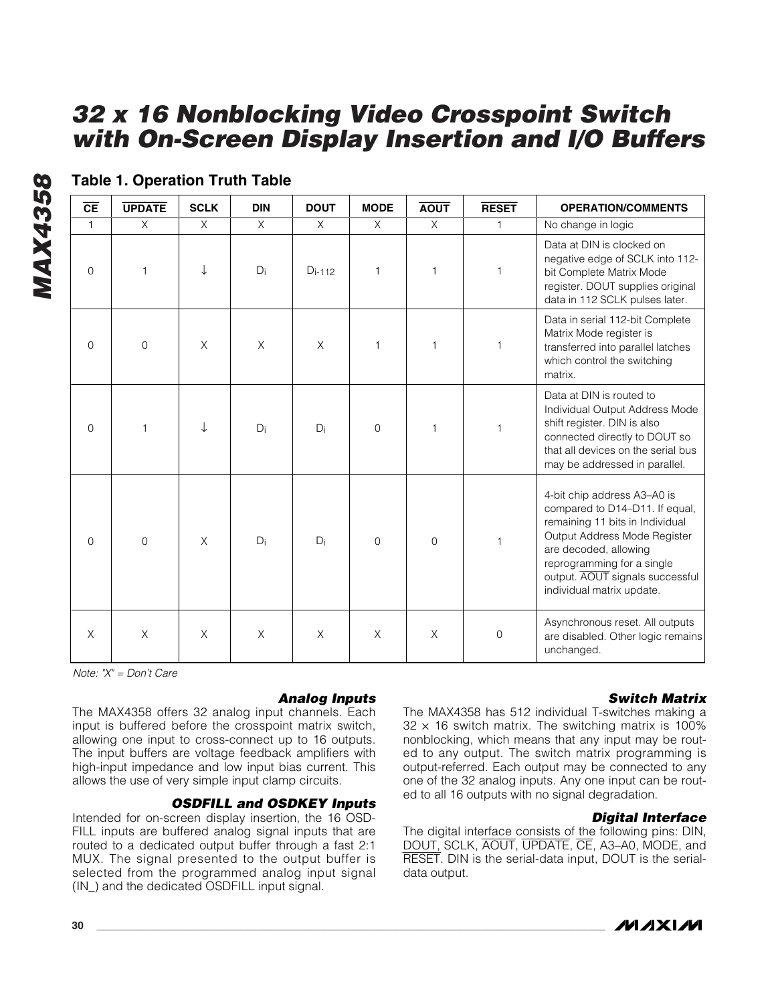| $\overline{\mathsf{CE}}$ | <b>UPDATE</b>  | <b>SCLK</b> | <b>DIN</b> | <b>DOUT</b> | <b>MODE</b>    | <b>AOUT</b>  | <b>RESET</b> | <b>OPERATION/COMMENTS</b>                                                                                                                                                                                                                               |
|--------------------------|----------------|-------------|------------|-------------|----------------|--------------|--------------|---------------------------------------------------------------------------------------------------------------------------------------------------------------------------------------------------------------------------------------------------------|
| $\mathbf{1}$             | X              | $\chi$      | $\times$   | X           | X              | X            | 1            | No change in logic                                                                                                                                                                                                                                      |
| $\mathbf{0}$             | $\mathbf{1}$   |             | Di         | $D_{i-112}$ | 1              | $\mathbf{1}$ | 1            | Data at DIN is clocked on<br>negative edge of SCLK into 112-<br>bit Complete Matrix Mode<br>register. DOUT supplies original<br>data in 112 SCLK pulses later.                                                                                          |
| $\mathbf{0}$             | $\overline{0}$ | X           | X          | X           | 1              | 1            | 1            | Data in serial 112-bit Complete<br>Matrix Mode register is<br>transferred into parallel latches<br>which control the switching<br>matrix.                                                                                                               |
| $\Omega$                 | $\mathbf{1}$   |             | $D_i$      | $D_i$       | $\mathbf 0$    | 1            | 1            | Data at DIN is routed to<br>Individual Output Address Mode<br>shift register. DIN is also<br>connected directly to DOUT so<br>that all devices on the serial bus<br>may be addressed in parallel.                                                       |
| $\mathbf{0}$             | $\Omega$       | $\times$    | Di         | $D_i$       | $\overline{0}$ | $\Omega$     | 1            | 4-bit chip address A3-A0 is<br>compared to D14-D11. If equal,<br>remaining 11 bits in Individual<br>Output Address Mode Register<br>are decoded, allowing<br>reprogramming for a single<br>output. AOUT signals successful<br>individual matrix update. |
| X                        | X              | X           | X          | $\times$    | X              | X            | 0            | Asynchronous reset. All outputs<br>are disabled. Other logic remains<br>unchanged.                                                                                                                                                                      |

#### **Table 1. Operation Truth Table**

*MAX4358*

**MAX4358** 

*Note: "X" = Don't Care*

#### *Analog Inputs*

The MAX4358 offers 32 analog input channels. Each input is buffered before the crosspoint matrix switch, allowing one input to cross-connect up to 16 outputs. The input buffers are voltage feedback amplifiers with high-input impedance and low input bias current. This allows the use of very simple input clamp circuits.

#### *OSDFILL and OSDKEY Inputs*

Intended for on-screen display insertion, the 16 OSD-FILL inputs are buffered analog signal inputs that are routed to a dedicated output buffer through a fast 2:1 MUX. The signal presented to the output buffer is selected from the programmed analog input signal (IN\_) and the dedicated OSDFILL input signal.

#### *Switch Matrix*

The MAX4358 has 512 individual T-switches making a  $32 \times 16$  switch matrix. The switching matrix is 100% nonblocking, which means that any input may be routed to any output. The switch matrix programming is output-referred. Each output may be connected to any one of the 32 analog inputs. Any one input can be routed to all 16 outputs with no signal degradation.

#### *Digital Interface*

The digital interface consists of the following pins: DIN, DOUT, SCLK, AOUT, UPDATE, CE, A3–A0, MODE, and RESET. DIN is the serial-data input, DOUT is the serialdata output.

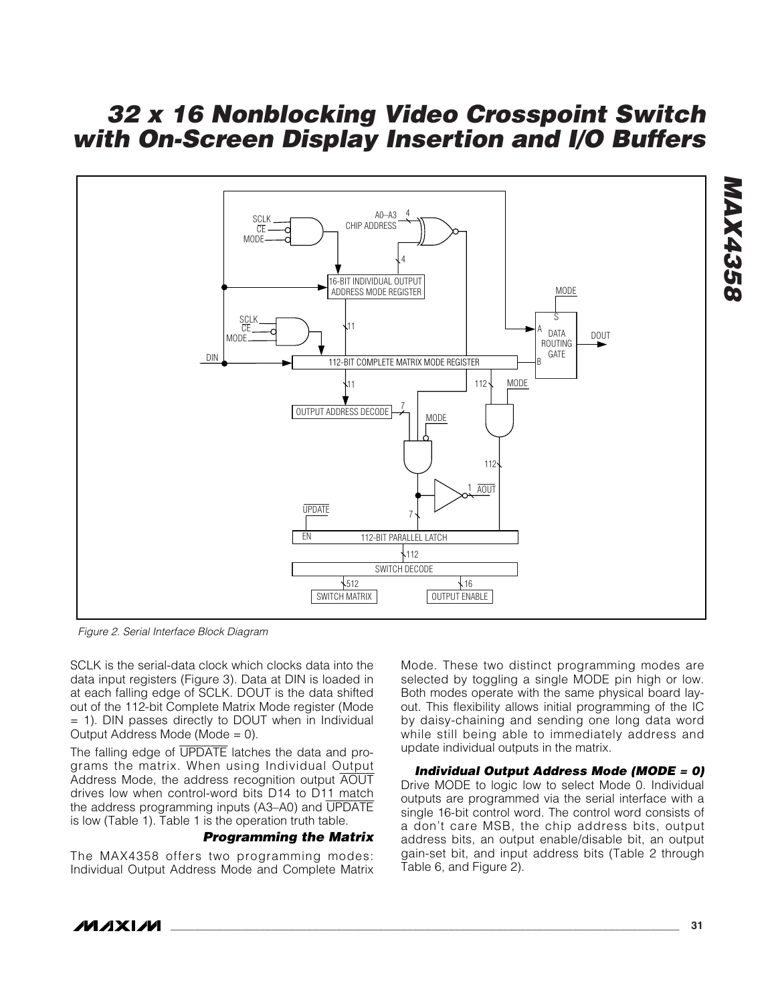

*Figure 2. Serial Interface Block Diagram*

SCLK is the serial-data clock which clocks data into the data input registers (Figure 3). Data at DIN is loaded in at each falling edge of SCLK. DOUT is the data shifted out of the 112-bit Complete Matrix Mode register (Mode = 1). DIN passes directly to DOUT when in Individual Output Address Mode (Mode = 0).

The falling edge of UPDATE latches the data and programs the matrix. When using Individual Output Address Mode, the address recognition output AOUT drives low when control-word bits D14 to D11 match the address programming inputs (A3–A0) and UPDATE is low (Table 1). Table 1 is the operation truth table.

#### *Programming the Matrix*

The MAX4358 offers two programming modes: Individual Output Address Mode and Complete Matrix Mode. These two distinct programming modes are selected by toggling a single MODE pin high or low. Both modes operate with the same physical board layout. This flexibility allows initial programming of the IC by daisy-chaining and sending one long data word while still being able to immediately address and update individual outputs in the matrix.

*Individual Output Address Mode (MODE = 0)* Drive MODE to logic low to select Mode 0. Individual outputs are programmed via the serial interface with a single 16-bit control word. The control word consists of a don't care MSB, the chip address bits, output address bits, an output enable/disable bit, an output gain-set bit, and input address bits (Table 2 through Table 6, and Figure 2).

*MAX4358*

**MAX4358**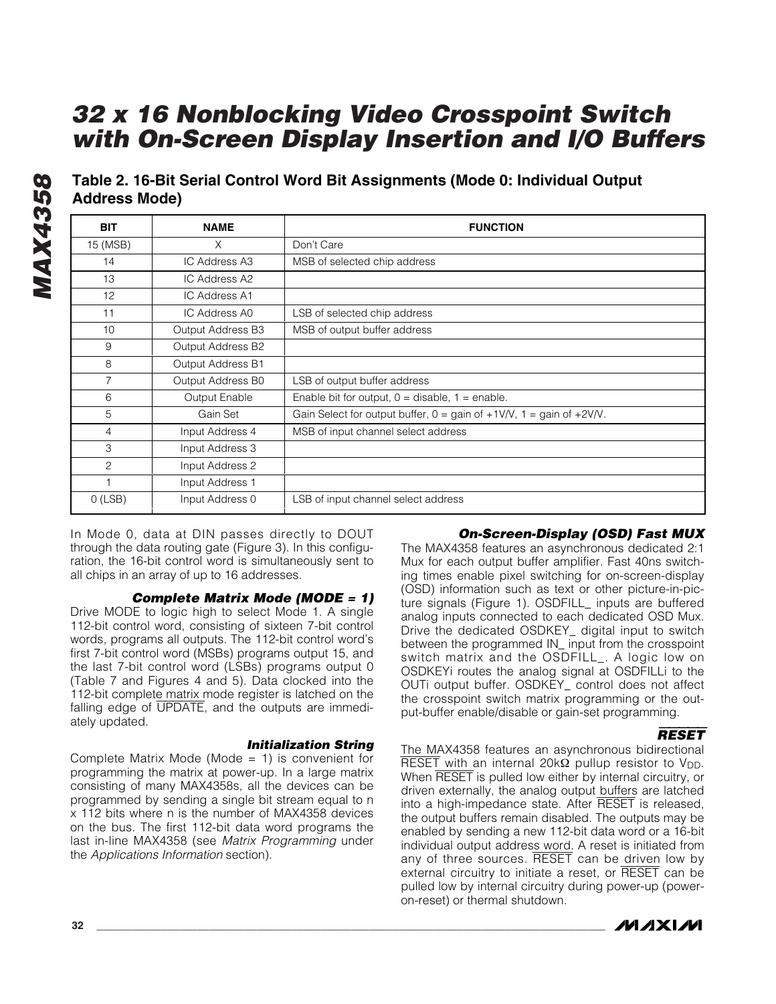**Table 2. 16-Bit Serial Control Word Bit Assignments (Mode 0: Individual Output Address Mode)**

| <b>BIT</b>     | <b>NAME</b>       | <b>FUNCTION</b>                                                                                            |
|----------------|-------------------|------------------------------------------------------------------------------------------------------------|
| 15 (MSB)       | X                 | Don't Care                                                                                                 |
| 14             | IC Address A3     | MSB of selected chip address                                                                               |
| 13             | IC Address A2     |                                                                                                            |
| 12             | IC Address A1     |                                                                                                            |
| 11             | IC Address A0     | LSB of selected chip address                                                                               |
| 10             | Output Address B3 | MSB of output buffer address                                                                               |
| 9              | Output Address B2 |                                                                                                            |
| 8              | Output Address B1 |                                                                                                            |
| 7              | Output Address B0 | LSB of output buffer address                                                                               |
| 6              | Output Enable     | Enable bit for output, $0 =$ disable, $1 =$ enable.                                                        |
| 5              | Gain Set          | Gain Select for output buffer, $0 = \text{gain of } +1 \text{V/V}$ , $1 = \text{gain of } +2 \text{V/V}$ . |
| $\overline{4}$ | Input Address 4   | MSB of input channel select address                                                                        |
| 3              | Input Address 3   |                                                                                                            |
| $\overline{c}$ | Input Address 2   |                                                                                                            |
|                | Input Address 1   |                                                                                                            |
| $O$ (LSB)      | Input Address 0   | LSB of input channel select address                                                                        |

In Mode 0, data at DIN passes directly to DOUT through the data routing gate (Figure 3). In this configuration, the 16-bit control word is simultaneously sent to all chips in an array of up to 16 addresses.

#### *Complete Matrix Mode (MODE = 1)*

Drive MODE to logic high to select Mode 1. A single 112-bit control word, consisting of sixteen 7-bit control words, programs all outputs. The 112-bit control word's first 7-bit control word (MSBs) programs output 15, and the last 7-bit control word (LSBs) programs output 0 (Table 7 and Figures 4 and 5). Data clocked into the 112-bit complete matrix mode register is latched on the falling edge of UPDATE, and the outputs are immediately updated.

#### *Initialization String*

Complete Matrix Mode (Mode  $= 1$ ) is convenient for programming the matrix at power-up. In a large matrix consisting of many MAX4358s, all the devices can be programmed by sending a single bit stream equal to n x 112 bits where n is the number of MAX4358 devices on the bus. The first 112-bit data word programs the last in-line MAX4358 (see *Matrix Programming* under the *Applications Information* section).

#### *On-Screen-Display (OSD) Fast MUX*

The MAX4358 features an asynchronous dedicated 2:1 Mux for each output buffer amplifier. Fast 40ns switching times enable pixel switching for on-screen-display (OSD) information such as text or other picture-in-picture signals (Figure 1). OSDFILL\_ inputs are buffered analog inputs connected to each dedicated OSD Mux. Drive the dedicated OSDKEY\_ digital input to switch between the programmed IN\_ input from the crosspoint switch matrix and the OSDFILL\_. A logic low on OSDKEYi routes the analog signal at OSDFILLi to the OUTi output buffer. OSDKEY\_ control does not affect the crosspoint switch matrix programming or the output-buffer enable/disable or gain-set programming.

#### RESET

The MAX4358 features an asynchronous bidirectional RESET with an internal 20kΩ pullup resistor to V<sub>DD</sub>. When RESET is pulled low either by internal circuitry, or driven externally, the analog output buffers are latched into a high-impedance state. After RESET is released, the output buffers remain disabled. The outputs may be enabled by sending a new 112-bit data word or a 16-bit individual output address word. A reset is initiated from any of three sources. RESET can be driven low by external circuitry to initiate a reset, or RESET can be pulled low by internal circuitry during power-up (poweron-reset) or thermal shutdown.

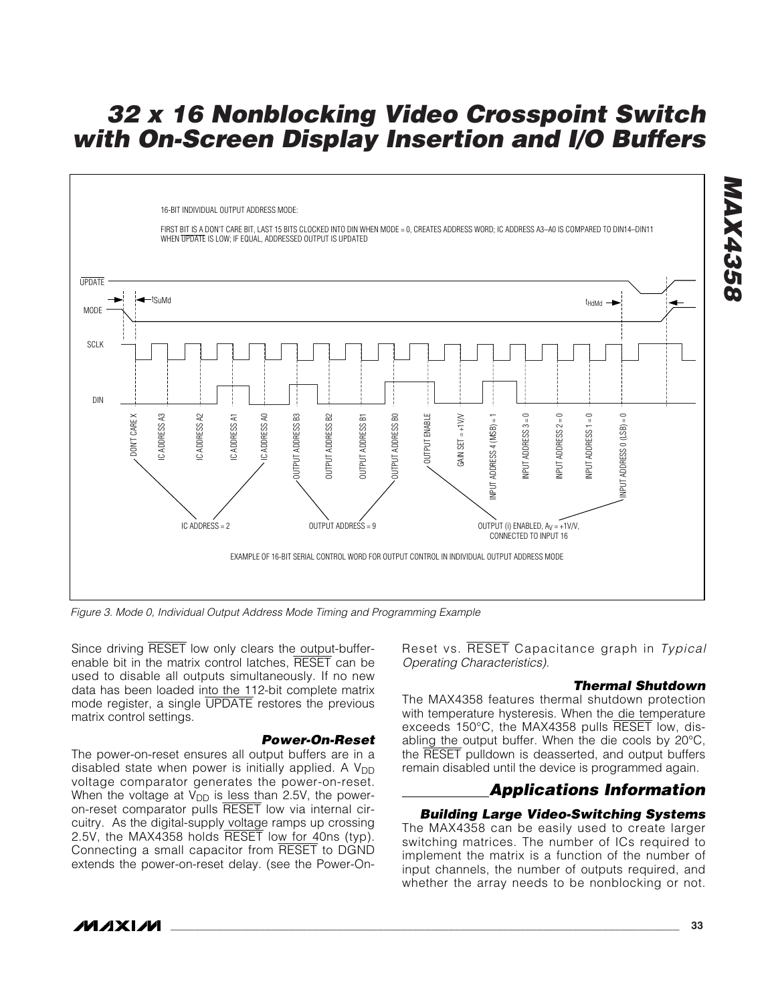

*Figure 3. Mode 0, Individual Output Address Mode Timing and Programming Example*

Since driving RESET low only clears the output-bufferenable bit in the matrix control latches, RESET can be used to disable all outputs simultaneously. If no new data has been loaded into the 112-bit complete matrix mode register, a single UPDATE restores the previous matrix control settings.

#### *Power-On-Reset*

The power-on-reset ensures all output buffers are in a disabled state when power is initially applied. A  $V_{DD}$ voltage comparator generates the power-on-reset. When the voltage at  $V_{DD}$  is less than 2.5V, the poweron-reset comparator pulls RESET low via internal circuitry. As the digital-supply voltage ramps up crossing 2.5V, the MAX4358 holds RESET low for 40ns (typ). Connecting a small capacitor from RESET to DGND extends the power-on-reset delay. (see the Power-OnReset vs. RESET Capacitance graph in *Typical Operating Characteristics)*.

#### *Thermal Shutdown*

The MAX4358 features thermal shutdown protection with temperature hysteresis. When the die temperature exceeds 150°C, the MAX4358 pulls RESET low, disabling the output buffer. When the die cools by 20°C, the RESET pulldown is deasserted, and output buffers remain disabled until the device is programmed again.

#### *Applications Information*

#### *Building Large Video-Switching Systems*

The MAX4358 can be easily used to create larger switching matrices. The number of ICs required to implement the matrix is a function of the number of input channels, the number of outputs required, and

/VI /I X I /VI

*MAX4358*

**MAX4358**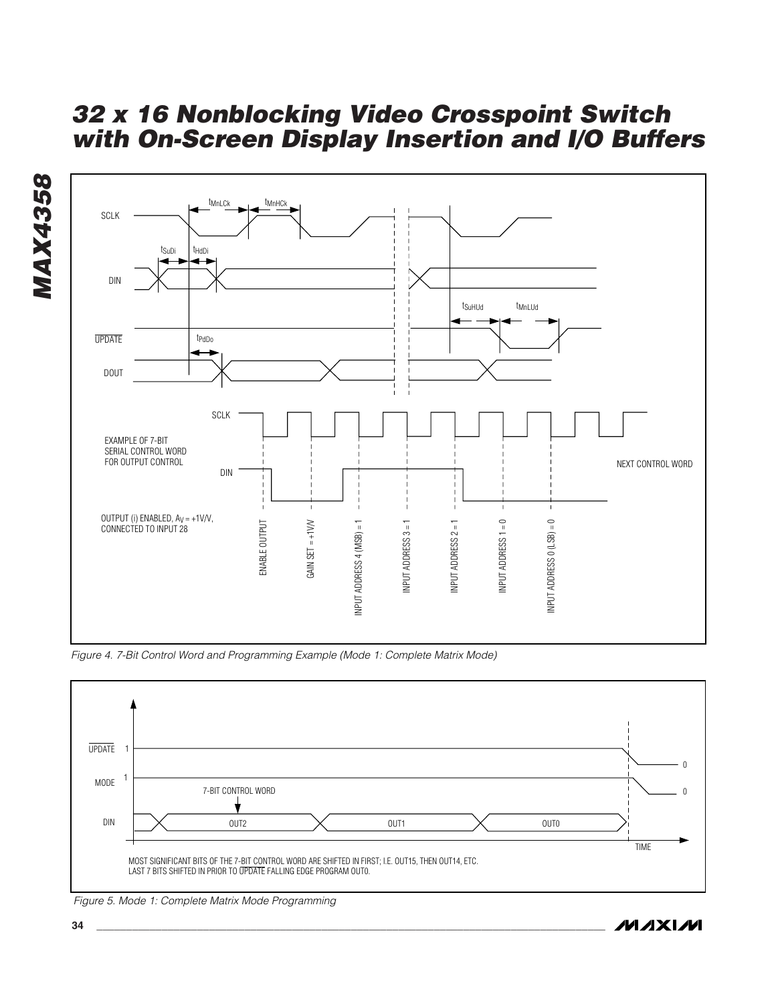



*Figure 4. 7-Bit Control Word and Programming Example (Mode 1: Complete Matrix Mode)*



*Figure 5. Mode 1: Complete Matrix Mode Programming*

**MAXIM**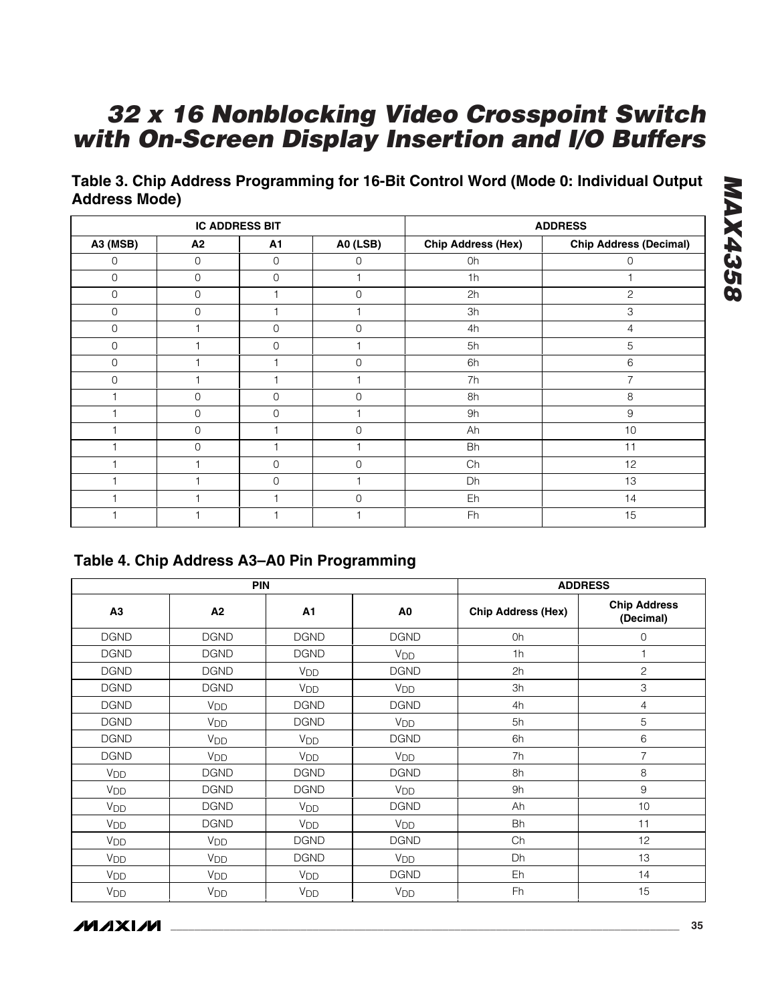**Table 3. Chip Address Programming for 16-Bit Control Word (Mode 0: Individual Output Address Mode)**

|                 | <b>IC ADDRESS BIT</b> |                |                | <b>ADDRESS</b>            |                               |
|-----------------|-----------------------|----------------|----------------|---------------------------|-------------------------------|
| <b>A3 (MSB)</b> | A2                    | A1             | A0 (LSB)       | <b>Chip Address (Hex)</b> | <b>Chip Address (Decimal)</b> |
| $\mathbf{O}$    | $\mathbf 0$           | 0              | $\Omega$       | 0h                        | $\mathbf 0$                   |
| $\mathbf 0$     | $\overline{0}$        | $\overline{0}$ |                | 1h                        |                               |
| $\overline{0}$  | $\overline{0}$        |                | $\Omega$       | 2h                        | $\mathbf{2}$                  |
| $\overline{0}$  | $\overline{0}$        |                |                | 3h                        | 3                             |
| $\overline{0}$  |                       | $\overline{0}$ | $\Omega$       | 4h                        | 4                             |
| $\overline{0}$  |                       | $\overline{0}$ |                | 5h                        | 5                             |
| $\overline{0}$  |                       |                | 0              | 6h                        | 6                             |
| $\overline{0}$  |                       |                |                | 7h                        | 7                             |
|                 | $\Omega$              | $\Omega$       | 0              | 8h                        | 8                             |
|                 | $\Omega$              | $\overline{0}$ |                | 9h                        | 9                             |
|                 | $\mathbf 0$           |                | $\overline{0}$ | Ah                        | 10                            |
|                 | $\Omega$              |                |                | Bh                        | 11                            |
|                 |                       | $\mathbf 0$    | $\overline{0}$ | Ch                        | 12                            |
|                 |                       | $\overline{0}$ |                | Dh                        | 13                            |
|                 |                       |                | $\Omega$       | Eh                        | 14                            |
|                 |                       |                |                | Fh                        | 15                            |

### **Table 4. Chip Address A3–A0 Pin Programming**

|                 | <b>PIN</b>      | <b>ADDRESS</b>        |                       |                           |                                  |
|-----------------|-----------------|-----------------------|-----------------------|---------------------------|----------------------------------|
| A3              | A2              | A1                    | A0                    | <b>Chip Address (Hex)</b> | <b>Chip Address</b><br>(Decimal) |
| <b>DGND</b>     | <b>DGND</b>     | <b>DGND</b>           | <b>DGND</b>           | 0h                        | $\mathbf 0$                      |
| <b>DGND</b>     | <b>DGND</b>     | <b>DGND</b>           | V <sub>DD</sub>       | 1 <sub>h</sub>            |                                  |
| <b>DGND</b>     | <b>DGND</b>     | <b>V<sub>DD</sub></b> | <b>DGND</b>           | 2h                        | $\overline{c}$                   |
| <b>DGND</b>     | <b>DGND</b>     | <b>V<sub>DD</sub></b> | V <sub>DD</sub>       | 3h                        | 3                                |
| <b>DGND</b>     | V <sub>DD</sub> | <b>DGND</b>           | <b>DGND</b>           | 4h                        | 4                                |
| <b>DGND</b>     | V <sub>DD</sub> | <b>DGND</b>           | <b>V<sub>DD</sub></b> | 5h                        | 5                                |
| <b>DGND</b>     | V <sub>DD</sub> | <b>V<sub>DD</sub></b> | <b>DGND</b>           | 6h                        | 6                                |
| <b>DGND</b>     | V <sub>DD</sub> | <b>V<sub>DD</sub></b> | <b>V<sub>DD</sub></b> | 7h                        | $\overline{7}$                   |
| V <sub>DD</sub> | <b>DGND</b>     | <b>DGND</b>           | <b>DGND</b>           | 8h                        | 8                                |
| V <sub>DD</sub> | <b>DGND</b>     | <b>DGND</b>           | <b>V<sub>DD</sub></b> | 9h                        | 9                                |
| V <sub>DD</sub> | <b>DGND</b>     | V <sub>DD</sub>       | <b>DGND</b>           | Ah                        | 10                               |
| V <sub>DD</sub> | <b>DGND</b>     | <b>V<sub>DD</sub></b> | V <sub>DD</sub>       | Bh                        | 11                               |
| V <sub>DD</sub> | V <sub>DD</sub> | <b>DGND</b>           | <b>DGND</b>           | Ch                        | 12                               |
| V <sub>DD</sub> | V <sub>DD</sub> | <b>DGND</b>           | <b>V<sub>DD</sub></b> | Dh                        | 13                               |
| V <sub>DD</sub> | V <sub>DD</sub> | <b>V<sub>DD</sub></b> | <b>DGND</b>           | Eh                        | 14                               |
| V <sub>DD</sub> | V <sub>DD</sub> | V <sub>DD</sub>       | <b>V<sub>DD</sub></b> | Fh                        | 15                               |



**MAX4358** *MAX4358*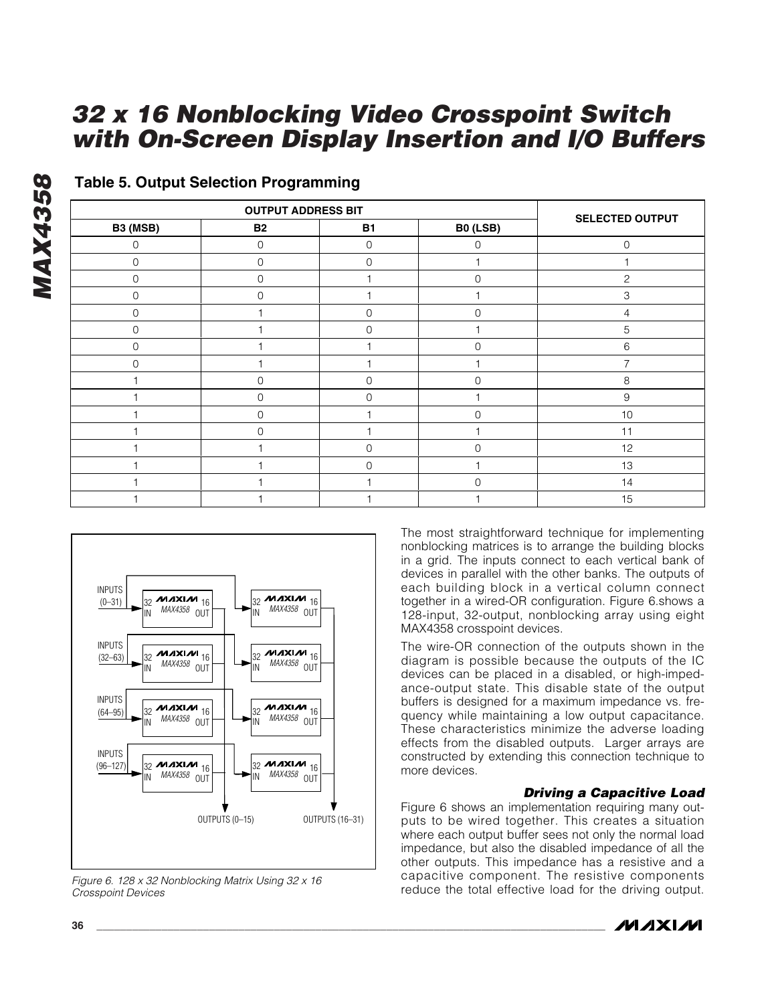| B3 (MSB)     | <b>B2</b>      | <b>B1</b>      | <b>B0 (LSB)</b> | <b>SELECTED OUTPUT</b> |
|--------------|----------------|----------------|-----------------|------------------------|
| $\Omega$     | $\mathbf 0$    | $\mathbf 0$    | $\mathbf 0$     | $\mathbf 0$            |
| $\Omega$     | $\overline{0}$ | $\Omega$       |                 |                        |
| $\Omega$     | $\overline{0}$ |                | 0               | $\overline{c}$         |
| $\mathbf{0}$ | $\Omega$       |                |                 | 3                      |
| $\mathbf 0$  |                | $\overline{0}$ | 0               | 4                      |
| $\mathbf 0$  |                | 0              |                 | 5                      |
| $\mathbf{0}$ |                |                | $\overline{0}$  | 6                      |
| $\mathbf 0$  |                |                |                 | ⇁                      |
|              | $\mathbf 0$    | $\mathbf 0$    | 0               | 8                      |
|              | $\overline{0}$ | $\mathbf 0$    |                 | 9                      |
|              | $\mathbf 0$    |                | 0               | $10$                   |
|              | $\Omega$       |                |                 | 11                     |
|              |                | $\mathbf 0$    | 0               | 12                     |
|              |                | $\Omega$       |                 | 13                     |
|              |                |                |                 | 14                     |
|              |                |                |                 | 15                     |

#### **Table 5. Output Selection Programming**



*Figure 6. 128 x 32 Nonblocking Matrix Using 32 x 16 Crosspoint Devices*

The most straightforward technique for implementing nonblocking matrices is to arrange the building blocks in a grid. The inputs connect to each vertical bank of devices in parallel with the other banks. The outputs of each building block in a vertical column connect together in a wired-OR configuration. Figure 6.shows a 128-input, 32-output, nonblocking array using eight MAX4358 crosspoint devices.

The wire-OR connection of the outputs shown in the diagram is possible because the outputs of the IC devices can be placed in a disabled, or high-impedance-output state. This disable state of the output buffers is designed for a maximum impedance vs. frequency while maintaining a low output capacitance. These characteristics minimize the adverse loading effects from the disabled outputs. Larger arrays are constructed by extending this connection technique to more devices.

#### *Driving a Capacitive Load*

Figure 6 shows an implementation requiring many outputs to be wired together. This creates a situation where each output buffer sees not only the normal load impedance, but also the disabled impedance of all the other outputs. This impedance has a resistive and a capacitive component. The resistive components reduce the total effective load for the driving output.

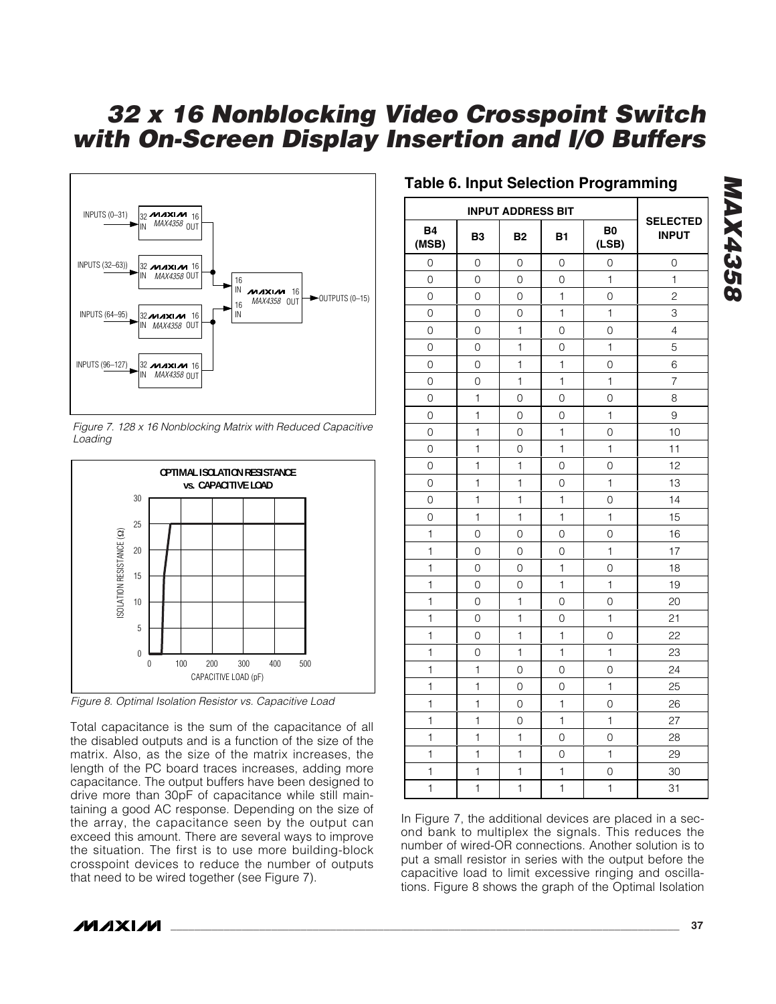

*Figure 7. 128 x 16 Nonblocking Matrix with Reduced Capacitive Loading*



*Figure 8. Optimal Isolation Resistor vs. Capacitive Load*

Total capacitance is the sum of the capacitance of all the disabled outputs and is a function of the size of the matrix. Also, as the size of the matrix increases, the length of the PC board traces increases, adding more capacitance. The output buffers have been designed to drive more than 30pF of capacitance while still maintaining a good AC response. Depending on the size of the array, the capacitance seen by the output can exceed this amount. There are several ways to improve the situation. The first is to use more building-block crosspoint devices to reduce the number of outputs that need to be wired together (see Figure 7).

#### **Table 6. Input Selection Programming**

| <b>B4</b><br>(MSB)  | B <sub>3</sub> | <b>B2</b>           | <b>B1</b>      | B <sub>0</sub><br>(LSB) | <b>SELECTED</b><br><b>INPUT</b> |
|---------------------|----------------|---------------------|----------------|-------------------------|---------------------------------|
| $\mathsf{O}\xspace$ | $\mathbf 0$    | $\mathbf 0$         | $\mathsf O$    | 0                       | 0                               |
| $\overline{O}$      | 0              | $\mathsf{O}$        | $\mathsf O$    | $\mathbf 1$             | 1                               |
| $\mathbf 0$         | $\mathbf 0$    | 0                   | $\mathbf{1}$   | 0                       | $\overline{c}$                  |
| $\mathbf 0$         | 0              | 0                   | 1              | 1                       | 3                               |
| 0                   | 0              | 1                   | 0              | 0                       | $\overline{4}$                  |
| 0                   | 0              | $\mathbf{1}$        | 0              | $\mathbf{1}$            | 5                               |
| $\overline{0}$      | $\overline{O}$ | $\mathbf{1}$        | $\mathbf{1}$   | $\overline{0}$          | 6                               |
| $\overline{0}$      | $\mathbf 0$    | $\mathbf{1}$        | $\overline{1}$ | $\mathbf 1$             | $\overline{7}$                  |
| O                   | $\mathbf{1}$   | $\overline{O}$      | 0              | $\overline{O}$          | 8                               |
| $\mathbf 0$         | $\mathbf{1}$   | $\mathbf 0$         | 0              | $\mathbf{1}$            | 9                               |
| 0                   | 1              | $\mathbf 0$         | $\mathbf{1}$   | 0                       | 10                              |
| $\mathbf 0$         | 1              | $\mathbf 0$         | 1              | 1                       | 11                              |
| 0                   | 1              | 1                   | 0              | 0                       | 12                              |
| 0                   | 1              | 1                   | 0              | 1                       | 13                              |
| 0                   | 1              | $\mathbf{1}$        | 1              | 0                       | 14                              |
| 0                   | 1              | 1                   | $\mathbf{1}$   | 1                       | 15                              |
| $\mathbf{1}$        | 0              | $\mathbf 0$         | 0              | 0                       | 16                              |
| $\mathbf{1}$        | 0              | 0                   | 0              | 1                       | 17                              |
| $\mathbf{1}$        | $\mathsf{O}$   | $\mathbf 0$         | $\mathbf{1}$   | $\overline{O}$          | 18                              |
| 1                   | 0              | 0                   | 1              | 1                       | 19                              |
| 1                   | $\mathbf 0$    | 1                   | $\mathsf O$    | 0                       | 20                              |
| 1                   | 0              | $\mathbf{1}$        | 0              | $\mathbf{1}$            | 21                              |
| $\mathbf{1}$        | $\overline{O}$ | 1                   | $\mathbf{1}$   | $\overline{0}$          | 22                              |
| $\mathbf{1}$        | 0              | $\overline{1}$      | $\overline{1}$ | $\mathbf{1}$            | 23                              |
| $\mathbf{1}$        | 1              | $\overline{0}$      | 0              | $\overline{O}$          | 24                              |
| $\mathbf{1}$        | $\mathbf{1}$   | $\overline{0}$      | $\overline{O}$ | $\mathbf 1$             | 25                              |
| 1                   | $\mathbf{1}$   | $\mathsf{O}\xspace$ | 1              | 0                       | 26                              |
| 1                   | $\mathbf{1}$   | $\mathbf 0$         | $\mathbf{1}$   | $\mathbf{1}$            | 27                              |
| 1                   | 1              | 1                   | $\mathsf O$    | 0                       | 28                              |
| $\mathbf{1}$        | 1              | $\mathbf{1}$        | $\mathbf 0$    | $\mathbf{1}$            | 29                              |
| $\mathbf{1}$        | 1              | 1                   | 1              | 0                       | 30                              |
| 1                   | $\mathbf{1}$   | $\mathbf{1}$        | $\mathbf{1}$   | $\mathbf 1$             | 31                              |

In Figure 7, the additional devices are placed in a second bank to multiplex the signals. This reduces the number of wired-OR connections. Another solution is to put a small resistor in series with the output before the capacitive load to limit excessive ringing and oscillations. Figure 8 shows the graph of the Optimal Isolation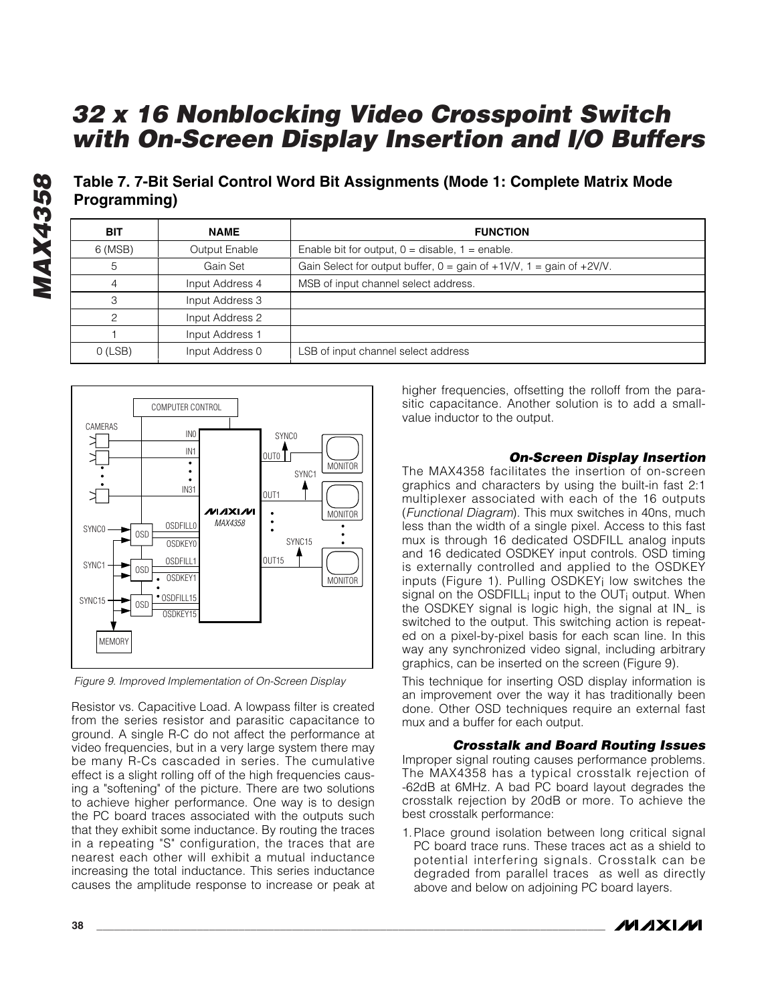**Table 7. 7-Bit Serial Control Word Bit Assignments (Mode 1: Complete Matrix Mode Programming)**

| BIT       | <b>NAME</b>     | <b>FUNCTION</b>                                                                                            |
|-----------|-----------------|------------------------------------------------------------------------------------------------------------|
| 6 (MSB)   | Output Enable   | Enable bit for output, $0 =$ disable, $1 =$ enable.                                                        |
| 5         | Gain Set        | Gain Select for output buffer, $0 = \text{gain of } +1 \text{V/N}$ , $1 = \text{gain of } +2 \text{V/N}$ . |
|           | Input Address 4 | MSB of input channel select address.                                                                       |
| З         | Input Address 3 |                                                                                                            |
| っ         | Input Address 2 |                                                                                                            |
|           | Input Address 1 |                                                                                                            |
| $O$ (LSB) | Input Address 0 | LSB of input channel select address                                                                        |



*Figure 9. Improved Implementation of On-Screen Display*

Resistor vs. Capacitive Load. A lowpass filter is created from the series resistor and parasitic capacitance to ground. A single R-C do not affect the performance at video frequencies, but in a very large system there may be many R-Cs cascaded in series. The cumulative effect is a slight rolling off of the high frequencies causing a "softening" of the picture. There are two solutions to achieve higher performance. One way is to design the PC board traces associated with the outputs such that they exhibit some inductance. By routing the traces in a repeating "S" configuration, the traces that are nearest each other will exhibit a mutual inductance increasing the total inductance. This series inductance causes the amplitude response to increase or peak at higher frequencies, offsetting the rolloff from the parasitic capacitance. Another solution is to add a smallvalue inductor to the output.

#### *On-Screen Display Insertion*

The MAX4358 facilitates the insertion of on-screen graphics and characters by using the built-in fast 2:1 multiplexer associated with each of the 16 outputs (*Functional Diagram*). This mux switches in 40ns, much less than the width of a single pixel. Access to this fast mux is through 16 dedicated OSDFILL analog inputs and 16 dedicated OSDKEY input controls. OSD timing is externally controlled and applied to the OSDKEY inputs (Figure 1). Pulling OSDKEYi low switches the signal on the OSDFILL; input to the OUT<sub>i</sub> output. When the OSDKEY signal is logic high, the signal at IN\_ is switched to the output. This switching action is repeated on a pixel-by-pixel basis for each scan line. In this way any synchronized video signal, including arbitrary graphics, can be inserted on the screen (Figure 9).

This technique for inserting OSD display information is an improvement over the way it has traditionally been done. Other OSD techniques require an external fast mux and a buffer for each output.

#### *Crosstalk and Board Routing Issues*

Improper signal routing causes performance problems. The MAX4358 has a typical crosstalk rejection of -62dB at 6MHz. A bad PC board layout degrades the crosstalk rejection by 20dB or more. To achieve the best crosstalk performance:

1.Place ground isolation between long critical signal PC board trace runs. These traces act as a shield to potential interfering signals. Crosstalk can be degraded from parallel traces as well as directly above and below on adjoining PC board layers.



**MAX4358** *MAX4358*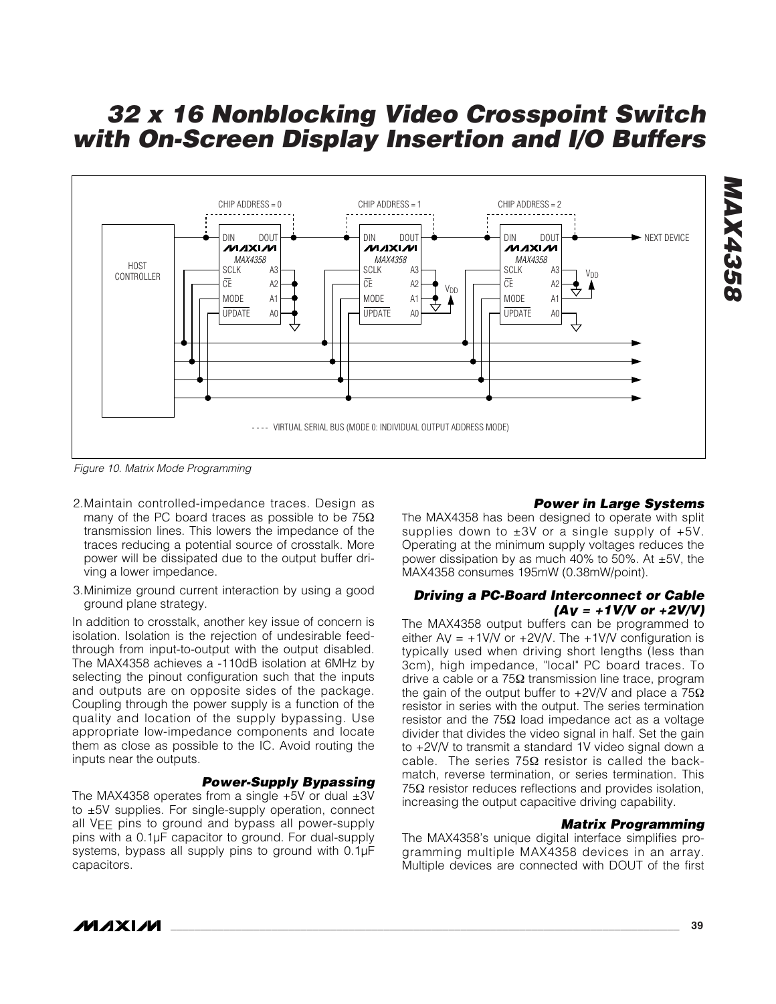

*Figure 10. Matrix Mode Programming*

- 2.Maintain controlled-impedance traces. Design as many of the PC board traces as possible to be 75Ω transmission lines. This lowers the impedance of the traces reducing a potential source of crosstalk. More power will be dissipated due to the output buffer driving a lower impedance.
- 3.Minimize ground current interaction by using a good ground plane strategy.

In addition to crosstalk, another key issue of concern is isolation. Isolation is the rejection of undesirable feedthrough from input-to-output with the output disabled. The MAX4358 achieves a -110dB isolation at 6MHz by selecting the pinout configuration such that the inputs and outputs are on opposite sides of the package. Coupling through the power supply is a function of the quality and location of the supply bypassing. Use appropriate low-impedance components and locate them as close as possible to the IC. Avoid routing the inputs near the outputs.

#### *Power-Supply Bypassing*

The MAX4358 operates from a single  $+5V$  or dual  $\pm 3V$ to ±5V supplies. For single-supply operation, connect all VEE pins to ground and bypass all power-supply pins with a 0.1µF capacitor to ground. For dual-supply systems, bypass all supply pins to ground with 0.1µF capacitors.

#### *Power in Large Systems*

*MAX4358*

**MAX4358** 

The MAX4358 has been designed to operate with split supplies down to  $\pm 3V$  or a single supply of  $+5V$ . Operating at the minimum supply voltages reduces the power dissipation by as much 40% to 50%. At  $\pm$ 5V, the MAX4358 consumes 195mW (0.38mW/point).

#### *Driving a PC-Board Interconnect or Cable (AV = +1V/V or +2V/V)*

The MAX4358 output buffers can be programmed to either  $Av = +1$ V/V or  $+2V/V$ . The  $+1V/V$  configuration is typically used when driving short lengths (less than 3cm), high impedance, "local" PC board traces. To drive a cable or a 75Ω transmission line trace, program the gain of the output buffer to +2V/V and place a  $75\Omega$ resistor in series with the output. The series termination resistor and the 75Ω load impedance act as a voltage divider that divides the video signal in half. Set the gain to +2V/V to transmit a standard 1V video signal down a cable. The series  $75\Omega$  resistor is called the backmatch, reverse termination, or series termination. This 75 $Ω$  resistor reduces reflections and provides isolation, increasing the output capacitive driving capability.

#### *Matrix Programming*

The MAX4358's unique digital interface simplifies programming multiple MAX4358 devices in an array. Multiple devices are connected with DOUT of the first

/VI /I X I /VI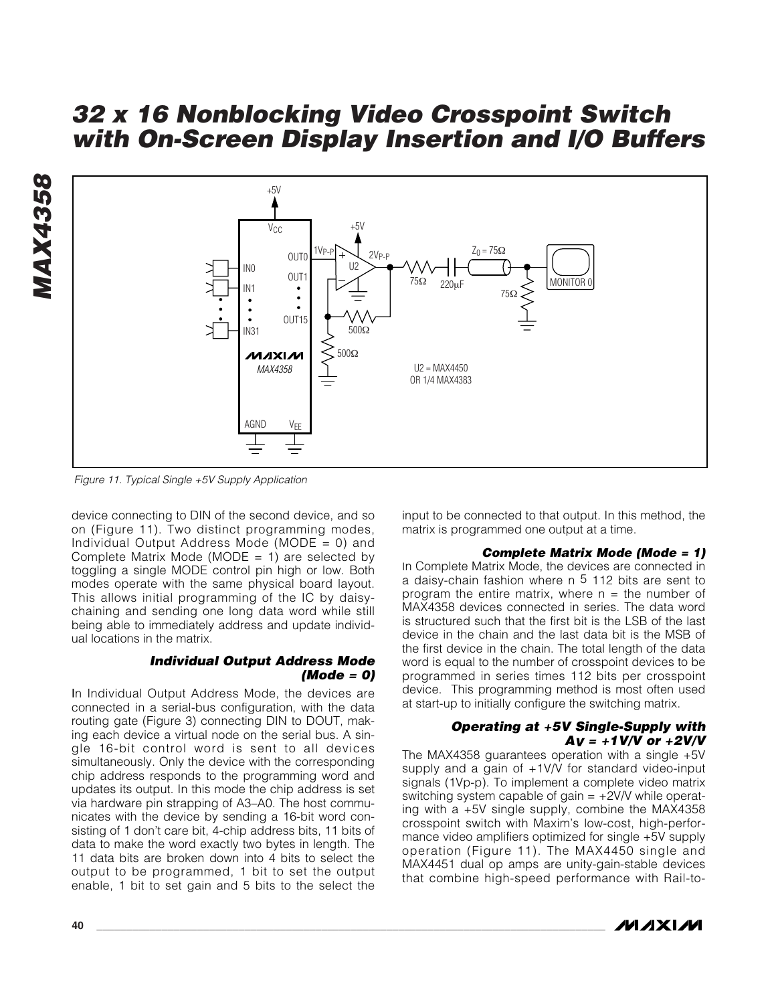

*Figure 11. Typical Single +5V Supply Application*

device connecting to DIN of the second device, and so on (Figure 11). Two distinct programming modes, Individual Output Address Mode (MODE = 0) and Complete Matrix Mode (MODE = 1) are selected by toggling a single MODE control pin high or low. Both modes operate with the same physical board layout. This allows initial programming of the IC by daisychaining and sending one long data word while still being able to immediately address and update individual locations in the matrix.

#### *Individual Output Address Mode (Mode = 0)*

In Individual Output Address Mode, the devices are connected in a serial-bus configuration, with the data routing gate (Figure 3) connecting DIN to DOUT, making each device a virtual node on the serial bus. A single 16-bit control word is sent to all devices simultaneously. Only the device with the corresponding chip address responds to the programming word and updates its output. In this mode the chip address is set via hardware pin strapping of A3–A0. The host communicates with the device by sending a 16-bit word consisting of 1 don't care bit, 4-chip address bits, 11 bits of data to make the word exactly two bytes in length. The 11 data bits are broken down into 4 bits to select the output to be programmed, 1 bit to set the output enable, 1 bit to set gain and 5 bits to the select the

input to be connected to that output. In this method, the matrix is programmed one output at a time.

#### *Complete Matrix Mode (Mode = 1)*

In Complete Matrix Mode, the devices are connected in a daisy-chain fashion where n 5 112 bits are sent to program the entire matrix, where  $n =$  the number of MAX4358 devices connected in series. The data word is structured such that the first bit is the LSB of the last device in the chain and the last data bit is the MSB of the first device in the chain. The total length of the data word is equal to the number of crosspoint devices to be programmed in series times 112 bits per crosspoint device. This programming method is most often used at start-up to initially configure the switching matrix.

#### *Operating at +5V Single-Supply with AV = +1V/V or +2V/V*

The MAX4358 guarantees operation with a single +5V supply and a gain of +1V/V for standard video-input signals (1Vp-p). To implement a complete video matrix switching system capable of gain  $= +2V/V$  while operating with a +5V single supply, combine the MAX4358 crosspoint switch with Maxim's low-cost, high-performance video amplifiers optimized for single +5V supply operation (Figure 11). The MAX4450 single and MAX4451 dual op amps are unity-gain-stable devices that combine high-speed performance with Rail-to-

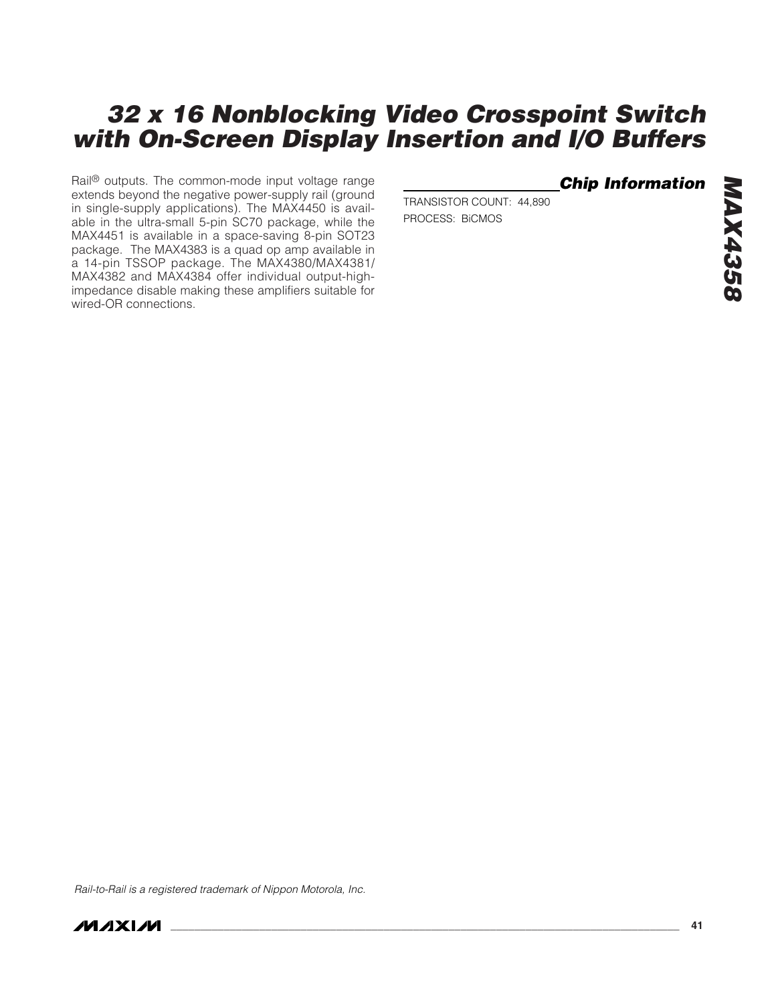Rail<sup>®</sup> outputs. The common-mode input voltage range extends beyond the negative power-supply rail (ground in single-supply applications). The MAX4450 is available in the ultra-small 5-pin SC70 package, while the MAX4451 is available in a space-saving 8-pin SOT23 package. The MAX4383 is a quad op amp available in a 14-pin TSSOP package. The MAX4380/MAX4381/ MAX4382 and MAX4384 offer individual output-highimpedance disable making these amplifiers suitable for wired-OR connections.

*Chip Information*

TRANSISTOR COUNT: 44,890 PROCESS: BiCMOS

*Rail-to-Rail is a registered trademark of Nippon Motorola, Inc.*

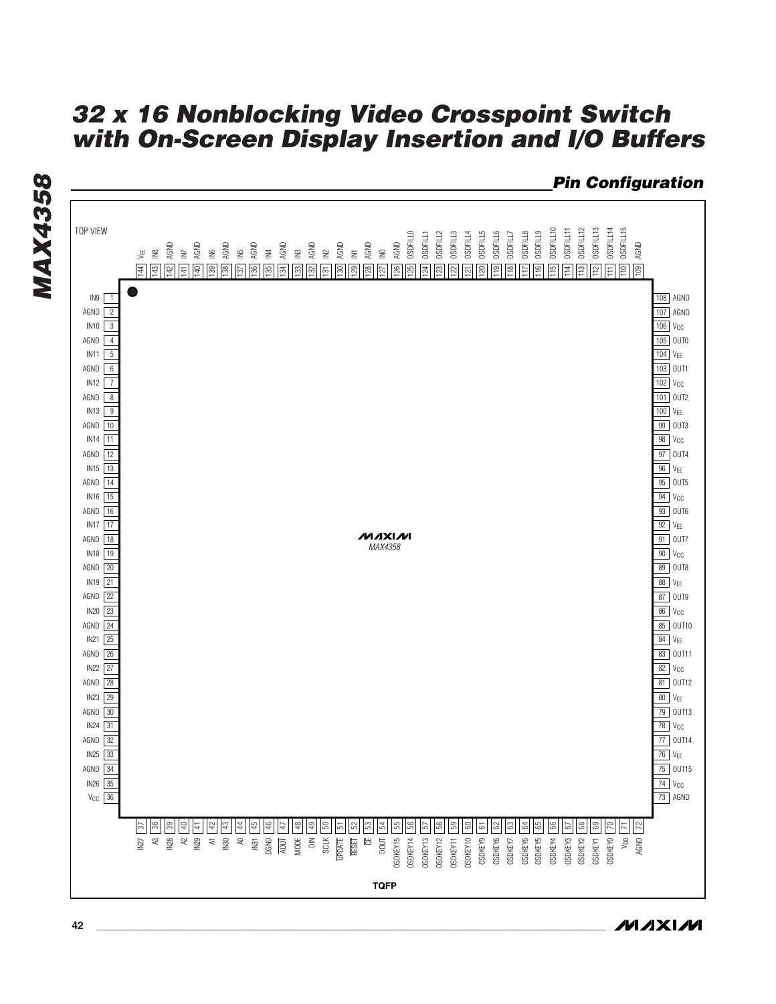

**MAXIM**